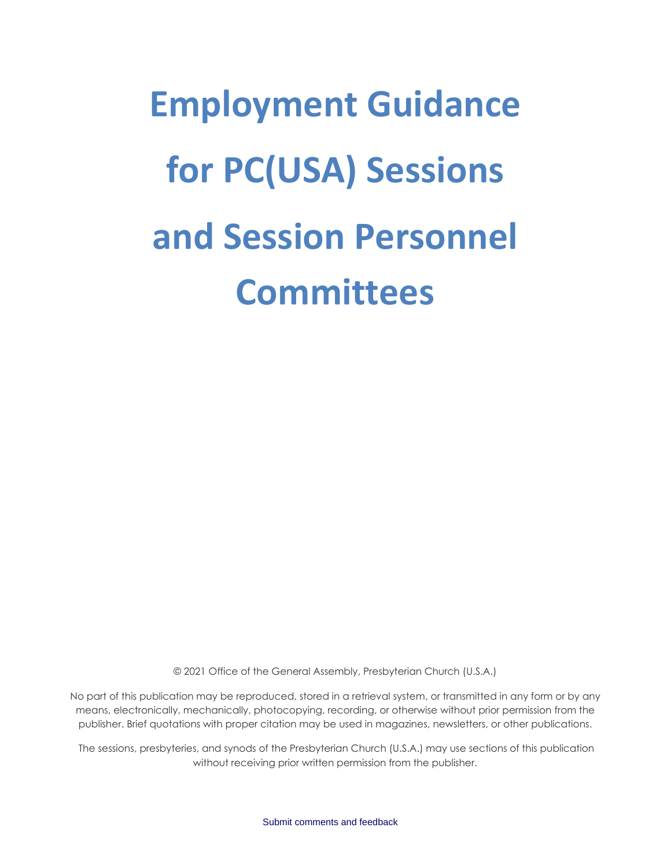# **Employment Guidance for PC(USA) Sessions and Session Personnel Committees**

© 2021 Office of the General Assembly, Presbyterian Church (U.S.A.)

No part of this publication may be reproduced, stored in a retrieval system, or transmitted in any form or by any means, electronically, mechanically, photocopying, recording, or otherwise without prior permission from the publisher. Brief quotations with proper citation may be used in magazines, newsletters, or other publications.

The sessions, presbyteries, and synods of the Presbyterian Church (U.S.A.) may use sections of this publication without receiving prior written permission from the publisher.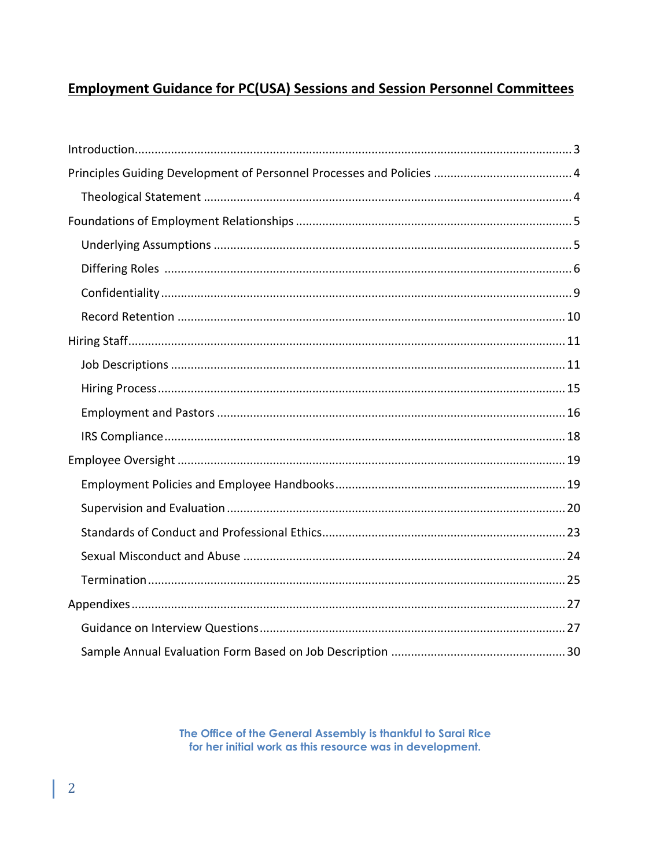# **Employment Guidance for PC(USA) Sessions and Session Personnel Committees**

The Office of the General Assembly is thankful to Sarai Rice for her initial work as this resource was in development.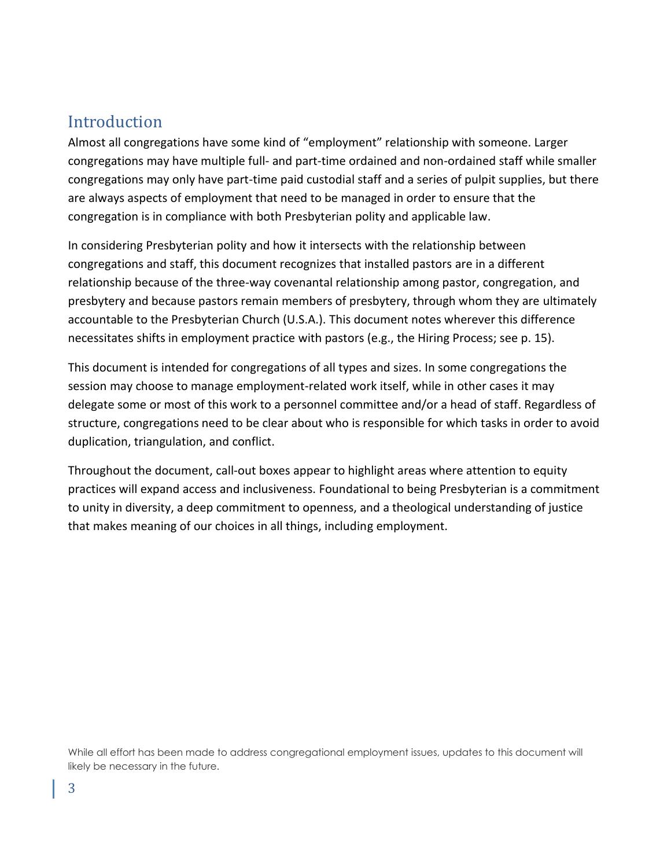# <span id="page-2-0"></span>**Introduction**

Almost all congregations have some kind of "employment" relationship with someone. Larger congregations may have multiple full- and part-time ordained and non-ordained staff while smaller congregations may only have part-time paid custodial staff and a series of pulpit supplies, but there are always aspects of employment that need to be managed in order to ensure that the congregation is in compliance with both Presbyterian polity and applicable law.

In considering Presbyterian polity and how it intersects with the relationship between congregations and staff, this document recognizes that installed pastors are in a different relationship because of the three-way covenantal relationship among pastor, congregation, and presbytery and because pastors remain members of presbytery, through whom they are ultimately accountable to the Presbyterian Church (U.S.A.). This document notes wherever this difference necessitates shifts in employment practice with pastors (e.g., the Hiring Process; see p. 15).

This document is intended for congregations of all types and sizes. In some congregations the session may choose to manage employment-related work itself, while in other cases it may delegate some or most of this work to a personnel committee and/or a head of staff. Regardless of structure, congregations need to be clear about who is responsible for which tasks in order to avoid duplication, triangulation, and conflict.

Throughout the document, call-out boxes appear to highlight areas where attention to equity practices will expand access and inclusiveness. Foundational to being Presbyterian is a commitment to unity in diversity, a deep commitment to openness, and a theological understanding of justice that makes meaning of our choices in all things, including employment.

While all effort has been made to address congregational employment issues, updates to this document will likely be necessary in the future.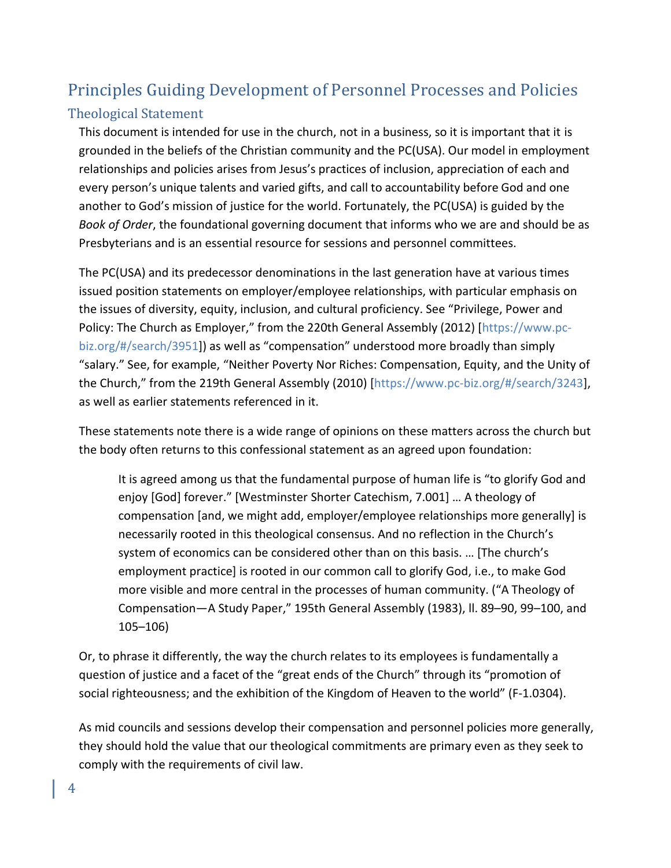# <span id="page-3-0"></span>Principles Guiding Development of Personnel Processes and Policies

# <span id="page-3-1"></span>Theological Statement

This document is intended for use in the church, not in a business, so it is important that it is grounded in the beliefs of the Christian community and the PC(USA). Our model in employment relationships and policies arises from Jesus's practices of inclusion, appreciation of each and every person's unique talents and varied gifts, and call to accountability before God and one another to God's mission of justice for the world. Fortunately, the PC(USA) is guided by the *Book of Order*, the foundational governing document that informs who we are and should be as Presbyterians and is an essential resource for sessions and personnel committees.

The PC(USA) and its predecessor denominations in the last generation have at various times issued position statements on employer/employee relationships, with particular emphasis on the issues of diversity, equity, inclusion, and cultural proficiency. See "Privilege, Power and Policy: The Church as Employer," from the 220th General Assembly (2012) [https:/[/www.pc](http://www.pc-biz.org/%23/search/3951)[biz.org/#/search/3951\]](http://www.pc-biz.org/%23/search/3951)) as well as "compensation" understood more broadly than simply "salary." See, for example, "Neither Poverty Nor Riches: Compensation, Equity, and the Unity of the Church," from the 219th General Assembly (2010) [https:/[/www.pc-biz.org/#/search/3243\]](http://www.pc-biz.org/%23/search/3243), as well as earlier statements referenced in it.

These statements note there is a wide range of opinions on these matters across the church but the body often returns to this confessional statement as an agreed upon foundation:

It is agreed among us that the fundamental purpose of human life is "to glorify God and enjoy [God] forever." [Westminster Shorter Catechism, 7.001] … A theology of compensation [and, we might add, employer/employee relationships more generally] is necessarily rooted in this theological consensus. And no reflection in the Church's system of economics can be considered other than on this basis. … [The church's employment practice] is rooted in our common call to glorify God, i.e., to make God more visible and more central in the processes of human community. ("A Theology of Compensation—A Study Paper," 195th General Assembly (1983), ll. 89–90, 99–100, and 105–106)

Or, to phrase it differently, the way the church relates to its employees is fundamentally a question of justice and a facet of the "great ends of the Church" through its "promotion of social righteousness; and the exhibition of the Kingdom of Heaven to the world" (F-1.0304).

As mid councils and sessions develop their compensation and personnel policies more generally, they should hold the value that our theological commitments are primary even as they seek to comply with the requirements of civil law.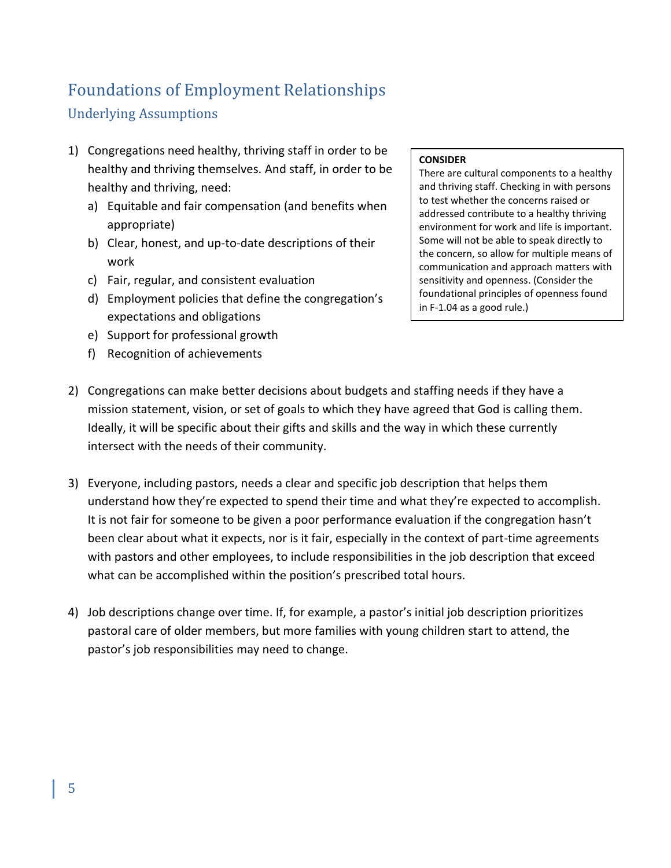# <span id="page-4-0"></span>Foundations of Employment Relationships

# <span id="page-4-1"></span>Underlying Assumptions

- 1) Congregations need healthy, thriving staff in order to be healthy and thriving themselves. And staff, in order to be healthy and thriving, need:
	- a) Equitable and fair compensation (and benefits when appropriate)
	- b) Clear, honest, and up-to-date descriptions of their work
	- c) Fair, regular, and consistent evaluation
	- d) Employment policies that define the congregation's expectations and obligations
	- e) Support for professional growth
	- f) Recognition of achievements

#### **CONSIDER**

There are cultural components to a healthy and thriving staff. Checking in with persons to test whether the concerns raised or addressed contribute to a healthy thriving environment for work and life is important. Some will not be able to speak directly to the concern, so allow for multiple means of communication and approach matters with sensitivity and openness. (Consider the foundational principles of openness found in F-1.04 as a good rule.)

- 2) Congregations can make better decisions about budgets and staffing needs if they have a mission statement, vision, or set of goals to which they have agreed that God is calling them. Ideally, it will be specific about their gifts and skills and the way in which these currently intersect with the needs of their community.
- 3) Everyone, including pastors, needs a clear and specific job description that helps them understand how they're expected to spend their time and what they're expected to accomplish. It is not fair for someone to be given a poor performance evaluation if the congregation hasn't been clear about what it expects, nor is it fair, especially in the context of part-time agreements with pastors and other employees, to include responsibilities in the job description that exceed what can be accomplished within the position's prescribed total hours.
- 4) Job descriptions change over time. If, for example, a pastor's initial job description prioritizes pastoral care of older members, but more families with young children start to attend, the pastor's job responsibilities may need to change.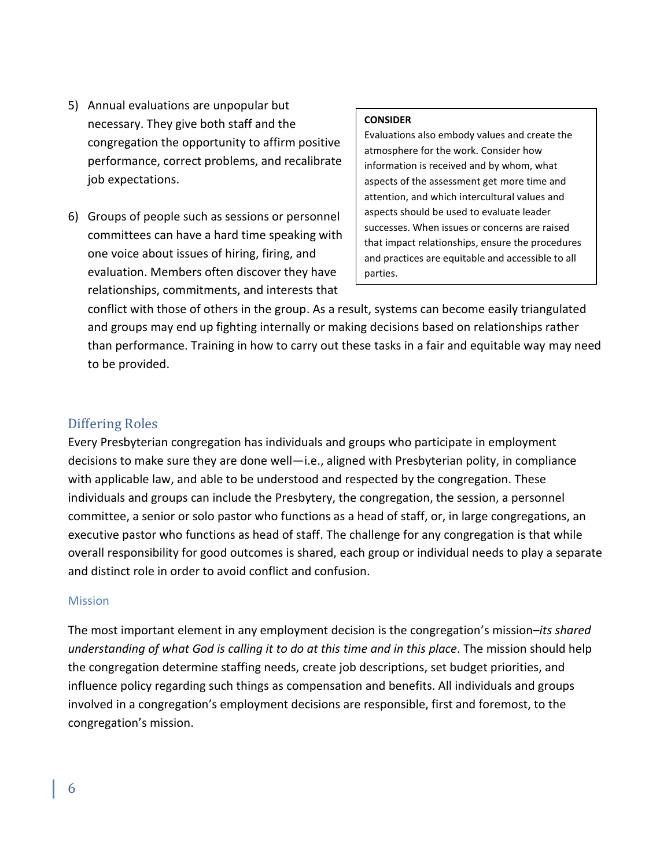- 5) Annual evaluations are unpopular but necessary. They give both staff and the congregation the opportunity to affirm positive performance, correct problems, and recalibrate job expectations.
- 6) Groups of people such as sessions or personnel committees can have a hard time speaking with one voice about issues of hiring, firing, and evaluation. Members often discover they have relationships, commitments, and interests that

#### **CONSIDER**

Evaluations also embody values and create the atmosphere for the work. Consider how information is received and by whom, what aspects of the assessment get more time and attention, and which intercultural values and aspects should be used to evaluate leader successes. When issues or concerns are raised that impact relationships, ensure the procedures and practices are equitable and accessible to all parties.

conflict with those of others in the group. As a result, systems can become easily triangulated and groups may end up fighting internally or making decisions based on relationships rather than performance. Training in how to carry out these tasks in a fair and equitable way may need to be provided.

#### <span id="page-5-0"></span>Differing Roles

Every Presbyterian congregation has individuals and groups who participate in employment decisions to make sure they are done well—i.e., aligned with Presbyterian polity, in compliance with applicable law, and able to be understood and respected by the congregation. These individuals and groups can include the Presbytery, the congregation, the session, a personnel committee, a senior or solo pastor who functions as a head of staff, or, in large congregations, an executive pastor who functions as head of staff. The challenge for any congregation is that while overall responsibility for good outcomes is shared, each group or individual needs to play a separate and distinct role in order to avoid conflict and confusion.

#### **Mission**

The most important element in any employment decision is the congregation's mission–*its shared understanding of what God is calling it to do at this time and in this place*. The mission should help the congregation determine staffing needs, create job descriptions, set budget priorities, and influence policy regarding such things as compensation and benefits. All individuals and groups involved in a congregation's employment decisions are responsible, first and foremost, to the congregation's mission.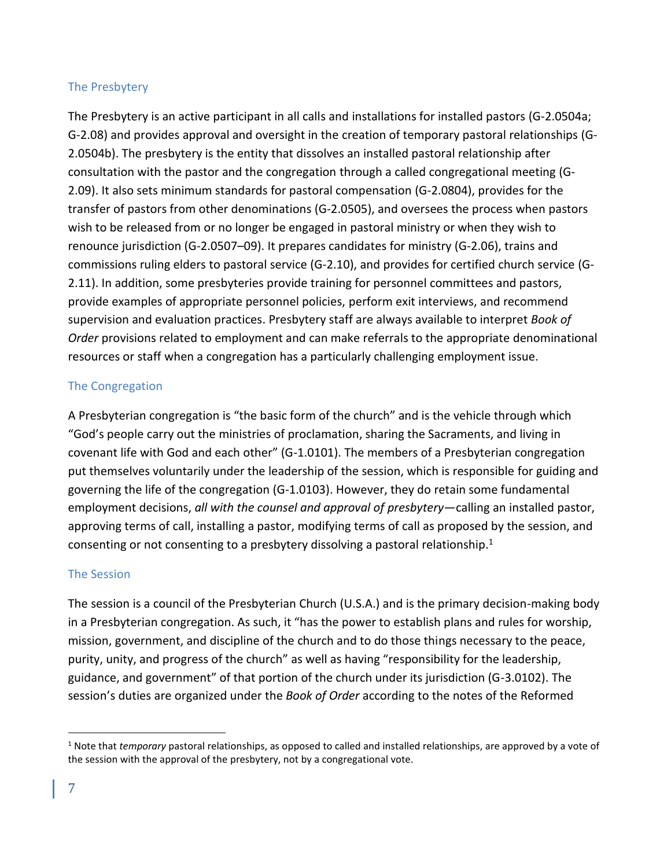#### The Presbytery

The Presbytery is an active participant in all calls and installations for installed pastors (G-2.0504a; G-2.08) and provides approval and oversight in the creation of temporary pastoral relationships (G-2.0504b). The presbytery is the entity that dissolves an installed pastoral relationship after consultation with the pastor and the congregation through a called congregational meeting (G-2.09). It also sets minimum standards for pastoral compensation (G-2.0804), provides for the transfer of pastors from other denominations (G-2.0505), and oversees the process when pastors wish to be released from or no longer be engaged in pastoral ministry or when they wish to renounce jurisdiction (G-2.0507–09). It prepares candidates for ministry (G-2.06), trains and commissions ruling elders to pastoral service (G-2.10), and provides for certified church service (G-2.11). In addition, some presbyteries provide training for personnel committees and pastors, provide examples of appropriate personnel policies, perform exit interviews, and recommend supervision and evaluation practices. Presbytery staff are always available to interpret *Book of Order* provisions related to employment and can make referrals to the appropriate denominational resources or staff when a congregation has a particularly challenging employment issue.

#### The Congregation

A Presbyterian congregation is "the basic form of the church" and is the vehicle through which "God's people carry out the ministries of proclamation, sharing the Sacraments, and living in covenant life with God and each other" (G-1.0101). The members of a Presbyterian congregation put themselves voluntarily under the leadership of the session, which is responsible for guiding and governing the life of the congregation (G-1.0103). However, they do retain some fundamental employment decisions, *all with the counsel and approval of presbytery*—calling an installed pastor, approving terms of call, installing a pastor, modifying terms of call as proposed by the session, and consenting or not consenting to a presbytery dissolving a pastoral relationship.<sup>1</sup>

## The Session

The session is a council of the Presbyterian Church (U.S.A.) and is the primary decision-making body in a Presbyterian congregation. As such, it "has the power to establish plans and rules for worship, mission, government, and discipline of the church and to do those things necessary to the peace, purity, unity, and progress of the church" as well as having "responsibility for the leadership, guidance, and government" of that portion of the church under its jurisdiction (G-3.0102). The session's duties are organized under the *Book of Order* according to the notes of the Reformed

<sup>1</sup> Note that *temporary* pastoral relationships, as opposed to called and installed relationships, are approved by a vote of the session with the approval of the presbytery, not by a congregational vote.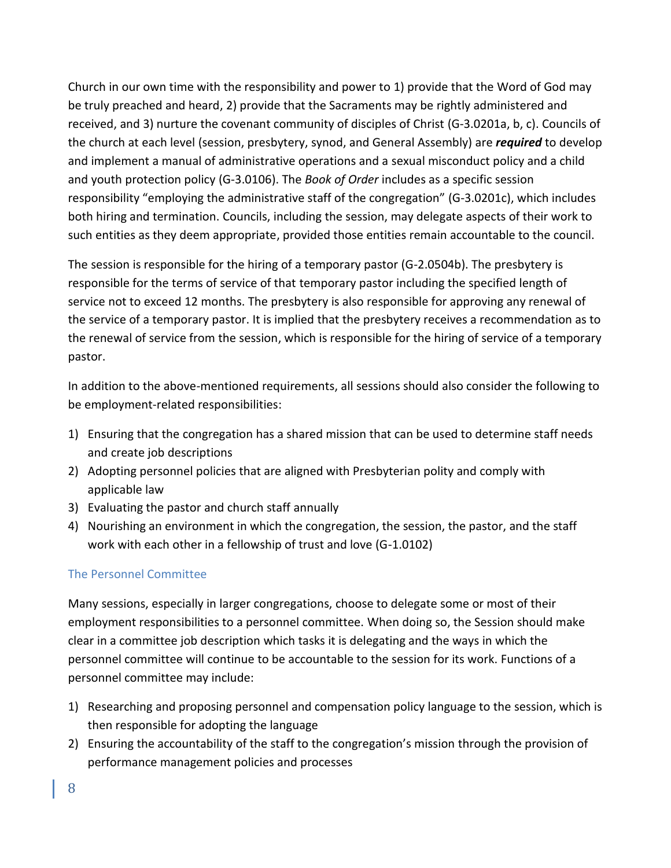Church in our own time with the responsibility and power to 1) provide that the Word of God may be truly preached and heard, 2) provide that the Sacraments may be rightly administered and received, and 3) nurture the covenant community of disciples of Christ (G-3.0201a, b, c). Councils of the church at each level (session, presbytery, synod, and General Assembly) are *required* to develop and implement a manual of administrative operations and a sexual misconduct policy and a child and youth protection policy (G-3.0106). The *Book of Order* includes as a specific session responsibility "employing the administrative staff of the congregation" (G-3.0201c), which includes both hiring and termination. Councils, including the session, may delegate aspects of their work to such entities as they deem appropriate, provided those entities remain accountable to the council.

The session is responsible for the hiring of a temporary pastor (G-2.0504b). The presbytery is responsible for the terms of service of that temporary pastor including the specified length of service not to exceed 12 months. The presbytery is also responsible for approving any renewal of the service of a temporary pastor. It is implied that the presbytery receives a recommendation as to the renewal of service from the session, which is responsible for the hiring of service of a temporary pastor.

In addition to the above-mentioned requirements, all sessions should also consider the following to be employment-related responsibilities:

- 1) Ensuring that the congregation has a shared mission that can be used to determine staff needs and create job descriptions
- 2) Adopting personnel policies that are aligned with Presbyterian polity and comply with applicable law
- 3) Evaluating the pastor and church staff annually
- 4) Nourishing an environment in which the congregation, the session, the pastor, and the staff work with each other in a fellowship of trust and love (G-1.0102)

#### The Personnel Committee

Many sessions, especially in larger congregations, choose to delegate some or most of their employment responsibilities to a personnel committee. When doing so, the Session should make clear in a committee job description which tasks it is delegating and the ways in which the personnel committee will continue to be accountable to the session for its work. Functions of a personnel committee may include:

- 1) Researching and proposing personnel and compensation policy language to the session, which is then responsible for adopting the language
- 2) Ensuring the accountability of the staff to the congregation's mission through the provision of performance management policies and processes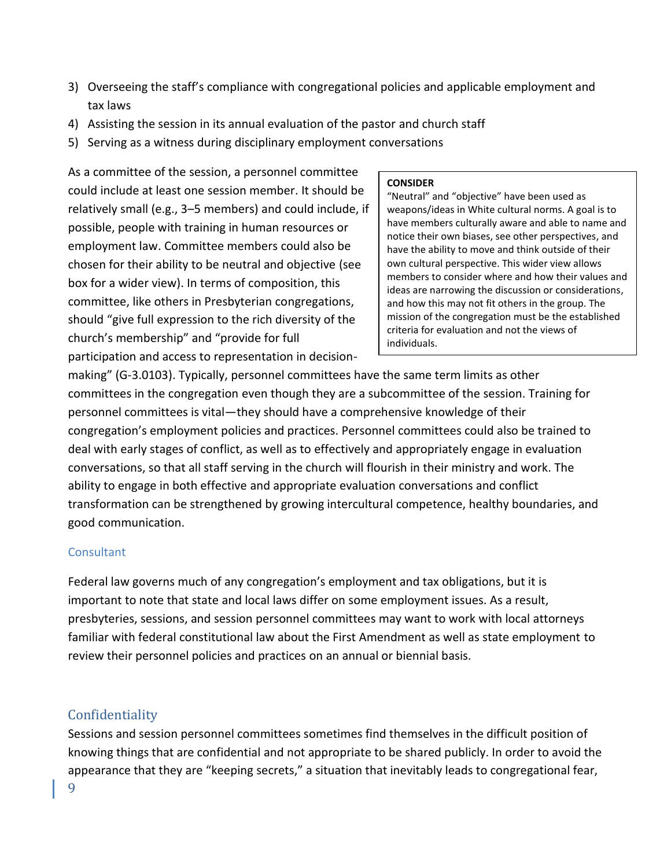- 3) Overseeing the staff's compliance with congregational policies and applicable employment and tax laws
- 4) Assisting the session in its annual evaluation of the pastor and church staff
- 5) Serving as a witness during disciplinary employment conversations

As a committee of the session, a personnel committee could include at least one session member. It should be relatively small (e.g., 3–5 members) and could include, if possible, people with training in human resources or employment law. Committee members could also be chosen for their ability to be neutral and objective (see box for a wider view). In terms of composition, this committee, like others in Presbyterian congregations, should "give full expression to the rich diversity of the church's membership" and "provide for full participation and access to representation in decision-

#### **CONSIDER**

"Neutral" and "objective" have been used as weapons/ideas in White cultural norms. A goal is to have members culturally aware and able to name and notice their own biases, see other perspectives, and have the ability to move and think outside of their own cultural perspective. This wider view allows members to consider where and how their values and ideas are narrowing the discussion or considerations, and how this may not fit others in the group. The mission of the congregation must be the established criteria for evaluation and not the views of individuals.

making" (G-3.0103). Typically, personnel committees have the same term limits as other committees in the congregation even though they are a subcommittee of the session. Training for personnel committees is vital—they should have a comprehensive knowledge of their congregation's employment policies and practices. Personnel committees could also be trained to deal with early stages of conflict, as well as to effectively and appropriately engage in evaluation conversations, so that all staff serving in the church will flourish in their ministry and work. The ability to engage in both effective and appropriate evaluation conversations and conflict transformation can be strengthened by growing intercultural competence, healthy boundaries, and good communication.

#### **Consultant**

Federal law governs much of any congregation's employment and tax obligations, but it is important to note that state and local laws differ on some employment issues. As a result, presbyteries, sessions, and session personnel committees may want to work with local attorneys familiar with federal constitutional law about the First Amendment as well as state employment to review their personnel policies and practices on an annual or biennial basis.

## <span id="page-8-0"></span>Confidentiality

9 Sessions and session personnel committees sometimes find themselves in the difficult position of knowing things that are confidential and not appropriate to be shared publicly. In order to avoid the appearance that they are "keeping secrets," a situation that inevitably leads to congregational fear,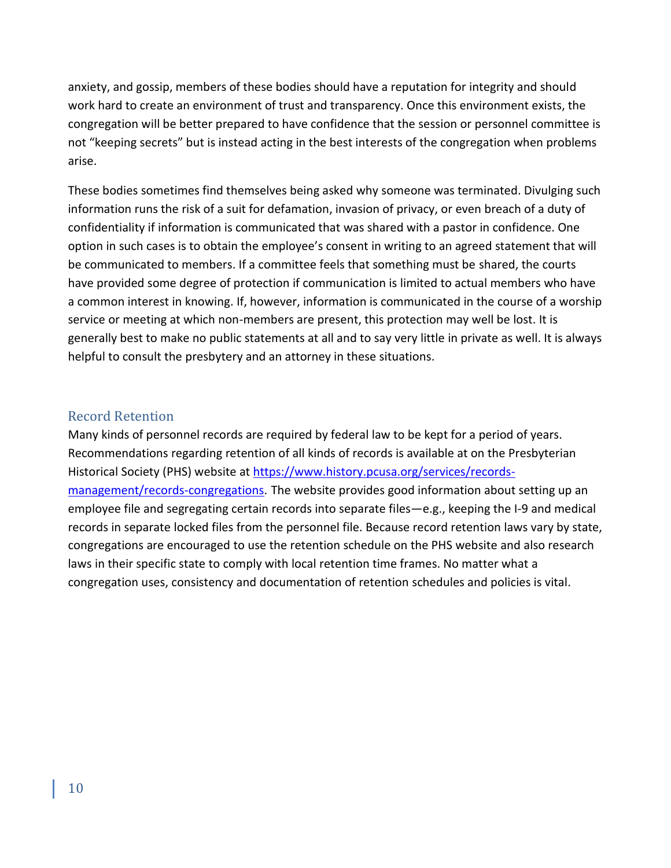anxiety, and gossip, members of these bodies should have a reputation for integrity and should work hard to create an environment of trust and transparency. Once this environment exists, the congregation will be better prepared to have confidence that the session or personnel committee is not "keeping secrets" but is instead acting in the best interests of the congregation when problems arise.

These bodies sometimes find themselves being asked why someone was terminated. Divulging such information runs the risk of a suit for defamation, invasion of privacy, or even breach of a duty of confidentiality if information is communicated that was shared with a pastor in confidence. One option in such cases is to obtain the employee's consent in writing to an agreed statement that will be communicated to members. If a committee feels that something must be shared, the courts have provided some degree of protection if communication is limited to actual members who have a common interest in knowing. If, however, information is communicated in the course of a worship service or meeting at which non-members are present, this protection may well be lost. It is generally best to make no public statements at all and to say very little in private as well. It is always helpful to consult the presbytery and an attorney in these situations.

#### <span id="page-9-0"></span>Record Retention

Many kinds of personnel records are required by federal law to be kept for a period of years. Recommendations regarding retention of all kinds of records is available at on the Presbyterian Historical Society (PHS) website at [https://www.history.pcusa.org/services/records](https://www.history.pcusa.org/services/records-management/records-congregations)[management/records-congregations.](https://www.history.pcusa.org/services/records-management/records-congregations) The website provides good information about setting up an employee file and segregating certain records into separate files—e.g., keeping the I-9 and medical records in separate locked files from the personnel file. Because record retention laws vary by state, congregations are encouraged to use the retention schedule on the PHS website and also research laws in their specific state to comply with local retention time frames. No matter what a congregation uses, consistency and documentation of retention schedules and policies is vital.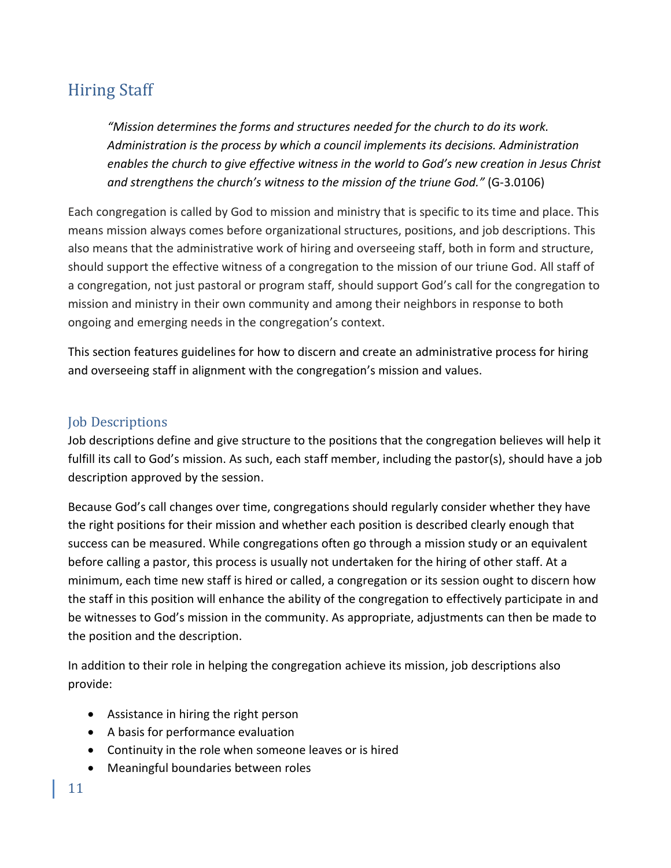# <span id="page-10-0"></span>Hiring Staff

*"Mission determines the forms and structures needed for the church to do its work. Administration is the process by which a council implements its decisions. Administration enables the church to give effective witness in the world to God's new creation in Jesus Christ and strengthens the church's witness to the mission of the triune God."* (G-3.0106)

Each congregation is called by God to mission and ministry that is specific to its time and place. This means mission always comes before organizational structures, positions, and job descriptions. This also means that the administrative work of hiring and overseeing staff, both in form and structure, should support the effective witness of a congregation to the mission of our triune God. All staff of a congregation, not just pastoral or program staff, should support God's call for the congregation to mission and ministry in their own community and among their neighbors in response to both ongoing and emerging needs in the congregation's context.

This section features guidelines for how to discern and create an administrative process for hiring and overseeing staff in alignment with the congregation's mission and values.

# <span id="page-10-1"></span>Job Descriptions

Job descriptions define and give structure to the positions that the congregation believes will help it fulfill its call to God's mission. As such, each staff member, including the pastor(s), should have a job description approved by the session.

Because God's call changes over time, congregations should regularly consider whether they have the right positions for their mission and whether each position is described clearly enough that success can be measured. While congregations often go through a mission study or an equivalent before calling a pastor, this process is usually not undertaken for the hiring of other staff. At a minimum, each time new staff is hired or called, a congregation or its session ought to discern how the staff in this position will enhance the ability of the congregation to effectively participate in and be witnesses to God's mission in the community. As appropriate, adjustments can then be made to the position and the description.

In addition to their role in helping the congregation achieve its mission, job descriptions also provide:

- Assistance in hiring the right person
- A basis for performance evaluation
- Continuity in the role when someone leaves or is hired
- Meaningful boundaries between roles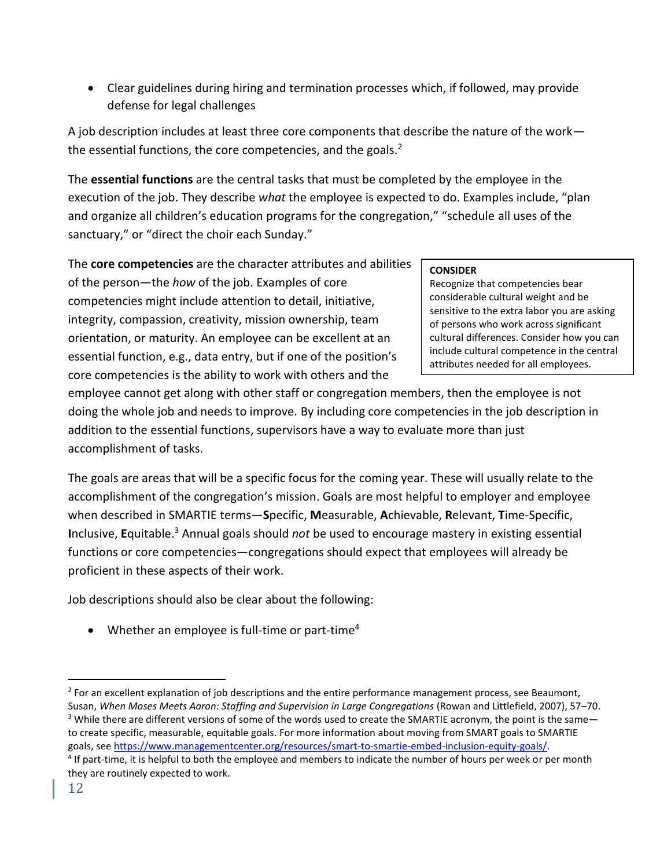• Clear guidelines during hiring and termination processes which, if followed, may provide defense for legal challenges

A job description includes at least three core components that describe the nature of the work the essential functions, the core competencies, and the goals. $2<sup>2</sup>$ 

The **essential functions** are the central tasks that must be completed by the employee in the execution of the job. They describe *what* the employee is expected to do. Examples include, "plan and organize all children's education programs for the congregation," "schedule all uses of the sanctuary," or "direct the choir each Sunday."

The **core competencies** are the character attributes and abilities of the person—the *how* of the job. Examples of core competencies might include attention to detail, initiative, integrity, compassion, creativity, mission ownership, team orientation, or maturity. An employee can be excellent at an essential function, e.g., data entry, but if one of the position's core competencies is the ability to work with others and the

#### **CONSIDER**

Recognize that competencies bear considerable cultural weight and be sensitive to the extra labor you are asking of persons who work across significant cultural differences. Consider how you can include cultural competence in the central attributes needed for all employees.

employee cannot get along with other staff or congregation members, then the employee is not doing the whole job and needs to improve. By including core competencies in the job description in addition to the essential functions, supervisors have a way to evaluate more than just accomplishment of tasks.

The goals are areas that will be a specific focus for the coming year. These will usually relate to the accomplishment of the congregation's mission. Goals are most helpful to employer and employee when described in SMARTIE terms—**S**pecific, **M**easurable, **A**chievable, **R**elevant, **T**ime-Specific, **I**nclusive, **E**quitable. <sup>3</sup> Annual goals should *not* be used to encourage mastery in existing essential functions or core competencies—congregations should expect that employees will already be proficient in these aspects of their work.

Job descriptions should also be clear about the following:

• Whether an employee is full-time or part-time<sup>4</sup>

<sup>&</sup>lt;sup>2</sup> For an excellent explanation of job descriptions and the entire performance management process, see Beaumont, Susan, When Moses Meets Aaron: Staffing and Supervision in Large Congregations (Rowan and Littlefield, 2007), 57-70.  $3$  While there are different versions of some of the words used to create the SMARTIE acronym, the point is the same to create specific, measurable, equitable goals. For more information about moving from SMART goals to SMARTIE goals, see [https://www.managementcenter.org/resources/smart-to-smartie-embed-inclusion-equity-goals/.](https://www.managementcenter.org/resources/smart-to-smartie-embed-inclusion-equity-goals/)

<sup>&</sup>lt;sup>4</sup> If part-time, it is helpful to both the employee and members to indicate the number of hours per week or per month they are routinely expected to work.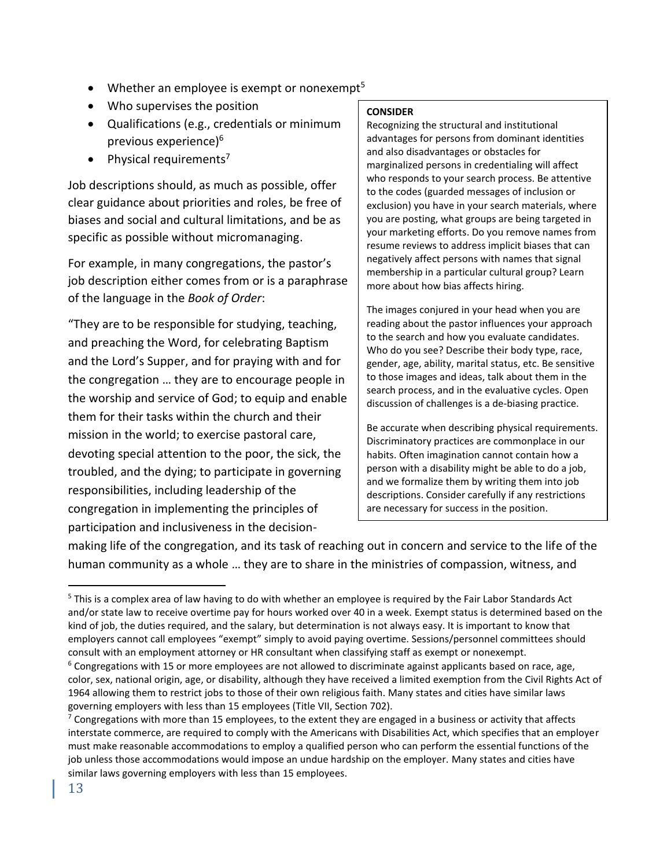- Whether an employee is exempt or nonexempt<sup>5</sup>
- Who supervises the position
- Qualifications (e.g., credentials or minimum previous experience)<sup>6</sup>
- Physical requirements<sup>7</sup>

Job descriptions should, as much as possible, offer clear guidance about priorities and roles, be free of biases and social and cultural limitations, and be as specific as possible without micromanaging.

For example, in many congregations, the pastor's job description either comes from or is a paraphrase of the language in the *Book of Order*:

"They are to be responsible for studying, teaching, and preaching the Word, for celebrating Baptism and the Lord's Supper, and for praying with and for the congregation … they are to encourage people in the worship and service of God; to equip and enable them for their tasks within the church and their mission in the world; to exercise pastoral care, devoting special attention to the poor, the sick, the troubled, and the dying; to participate in governing responsibilities, including leadership of the congregation in implementing the principles of participation and inclusiveness in the decision-

#### **CONSIDER**

Recognizing the structural and institutional advantages for persons from dominant identities and also disadvantages or obstacles for marginalized persons in credentialing will affect who responds to your search process. Be attentive to the codes (guarded messages of inclusion or exclusion) you have in your search materials, where you are posting, what groups are being targeted in your marketing efforts. Do you remove names from resume reviews to address implicit biases that can negatively affect persons with names that signal membership in a particular cultural group? Learn more about how bias affects hiring.

The images conjured in your head when you are reading about the pastor influences your approach to the search and how you evaluate candidates. Who do you see? Describe their body type, race, gender, age, ability, marital status, etc. Be sensitive to those images and ideas, talk about them in the search process, and in the evaluative cycles. Open discussion of challenges is a de-biasing practice.

Be accurate when describing physical requirements. Discriminatory practices are commonplace in our habits. Often imagination cannot contain how a person with a disability might be able to do a job, and we formalize them by writing them into job descriptions. Consider carefully if any restrictions are necessary for success in the position.

making life of the congregation, and its task of reaching out in concern and service to the life of the human community as a whole … they are to share in the ministries of compassion, witness, and

<sup>5</sup> This is a complex area of law having to do with whether an employee is required by the Fair Labor Standards Act and/or state law to receive overtime pay for hours worked over 40 in a week. Exempt status is determined based on the kind of job, the duties required, and the salary, but determination is not always easy. It is important to know that employers cannot call employees "exempt" simply to avoid paying overtime. Sessions/personnel committees should consult with an employment attorney or HR consultant when classifying staff as exempt or nonexempt.

 $6$  Congregations with 15 or more employees are not allowed to discriminate against applicants based on race, age, color, sex, national origin, age, or disability, although they have received a limited exemption from the Civil Rights Act of 1964 allowing them to restrict jobs to those of their own religious faith. Many states and cities have similar laws governing employers with less than 15 employees (Title VII, Section 702).

 $7$  Congregations with more than 15 employees, to the extent they are engaged in a business or activity that affects interstate commerce, are required to comply with the Americans with Disabilities Act, which specifies that an employer must make reasonable accommodations to employ a qualified person who can perform the essential functions of the job unless those accommodations would impose an undue hardship on the employer. Many states and cities have similar laws governing employers with less than 15 employees.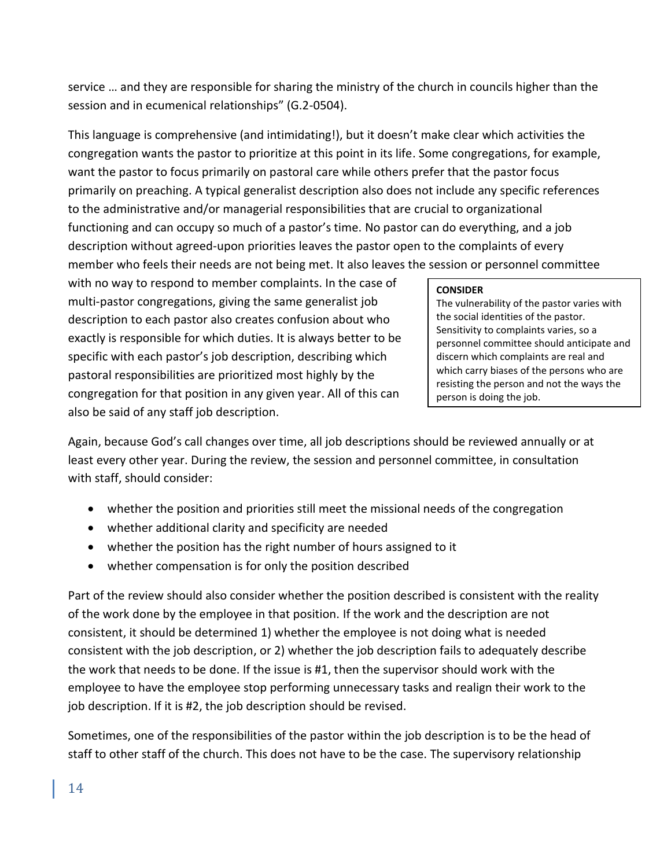service … and they are responsible for sharing the ministry of the church in councils higher than the session and in ecumenical relationships" (G.2-0504).

This language is comprehensive (and intimidating!), but it doesn't make clear which activities the congregation wants the pastor to prioritize at this point in its life. Some congregations, for example, want the pastor to focus primarily on pastoral care while others prefer that the pastor focus primarily on preaching. A typical generalist description also does not include any specific references to the administrative and/or managerial responsibilities that are crucial to organizational functioning and can occupy so much of a pastor's time. No pastor can do everything, and a job description without agreed-upon priorities leaves the pastor open to the complaints of every member who feels their needs are not being met. It also leaves the session or personnel committee

with no way to respond to member complaints. In the case of multi-pastor congregations, giving the same generalist job description to each pastor also creates confusion about who exactly is responsible for which duties. It is always better to be specific with each pastor's job description, describing which pastoral responsibilities are prioritized most highly by the congregation for that position in any given year. All of this can also be said of any staff job description.

#### **CONSIDER**

The vulnerability of the pastor varies with the social identities of the pastor. Sensitivity to complaints varies, so a personnel committee should anticipate and discern which complaints are real and which carry biases of the persons who are resisting the person and not the ways the person is doing the job.

Again, because God's call changes over time, all job descriptions should be reviewed annually or at least every other year. During the review, the session and personnel committee, in consultation with staff, should consider:

- whether the position and priorities still meet the missional needs of the congregation
- whether additional clarity and specificity are needed
- whether the position has the right number of hours assigned to it
- whether compensation is for only the position described

Part of the review should also consider whether the position described is consistent with the reality of the work done by the employee in that position. If the work and the description are not consistent, it should be determined 1) whether the employee is not doing what is needed consistent with the job description, or 2) whether the job description fails to adequately describe the work that needs to be done. If the issue is #1, then the supervisor should work with the employee to have the employee stop performing unnecessary tasks and realign their work to the job description. If it is #2, the job description should be revised.

Sometimes, one of the responsibilities of the pastor within the job description is to be the head of staff to other staff of the church. This does not have to be the case. The supervisory relationship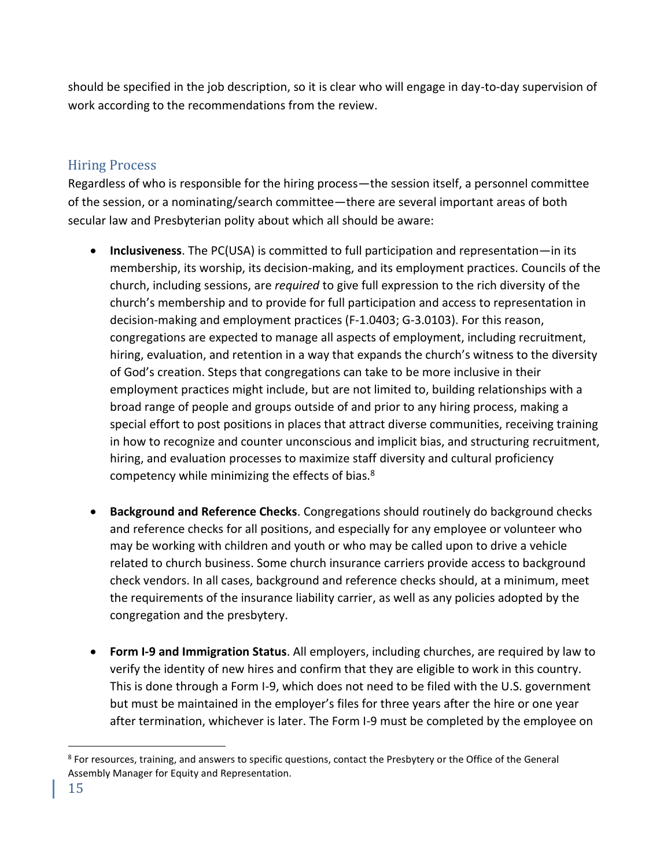should be specified in the job description, so it is clear who will engage in day-to-day supervision of work according to the recommendations from the review.

# <span id="page-14-0"></span>Hiring Process

Regardless of who is responsible for the hiring process—the session itself, a personnel committee of the session, or a nominating/search committee—there are several important areas of both secular law and Presbyterian polity about which all should be aware:

- **Inclusiveness**. The PC(USA) is committed to full participation and representation—in its membership, its worship, its decision-making, and its employment practices. Councils of the church, including sessions, are *required* to give full expression to the rich diversity of the church's membership and to provide for full participation and access to representation in decision-making and employment practices (F-1.0403; G-3.0103). For this reason, congregations are expected to manage all aspects of employment, including recruitment, hiring, evaluation, and retention in a way that expands the church's witness to the diversity of God's creation. Steps that congregations can take to be more inclusive in their employment practices might include, but are not limited to, building relationships with a broad range of people and groups outside of and prior to any hiring process, making a special effort to post positions in places that attract diverse communities, receiving training in how to recognize and counter unconscious and implicit bias, and structuring recruitment, hiring, and evaluation processes to maximize staff diversity and cultural proficiency competency while minimizing the effects of bias.<sup>8</sup>
- **Background and Reference Checks**. Congregations should routinely do background checks and reference checks for all positions, and especially for any employee or volunteer who may be working with children and youth or who may be called upon to drive a vehicle related to church business. Some church insurance carriers provide access to background check vendors. In all cases, background and reference checks should, at a minimum, meet the requirements of the insurance liability carrier, as well as any policies adopted by the congregation and the presbytery.
- **Form I-9 and Immigration Status**. All employers, including churches, are required by law to verify the identity of new hires and confirm that they are eligible to work in this country. This is done through a Form I-9, which does not need to be filed with the U.S. government but must be maintained in the employer's files for three years after the hire or one year after termination, whichever is later. The Form I-9 must be completed by the employee on

<sup>&</sup>lt;sup>8</sup> For resources, training, and answers to specific questions, contact the Presbytery or the Office of the General Assembly Manager for Equity and Representation.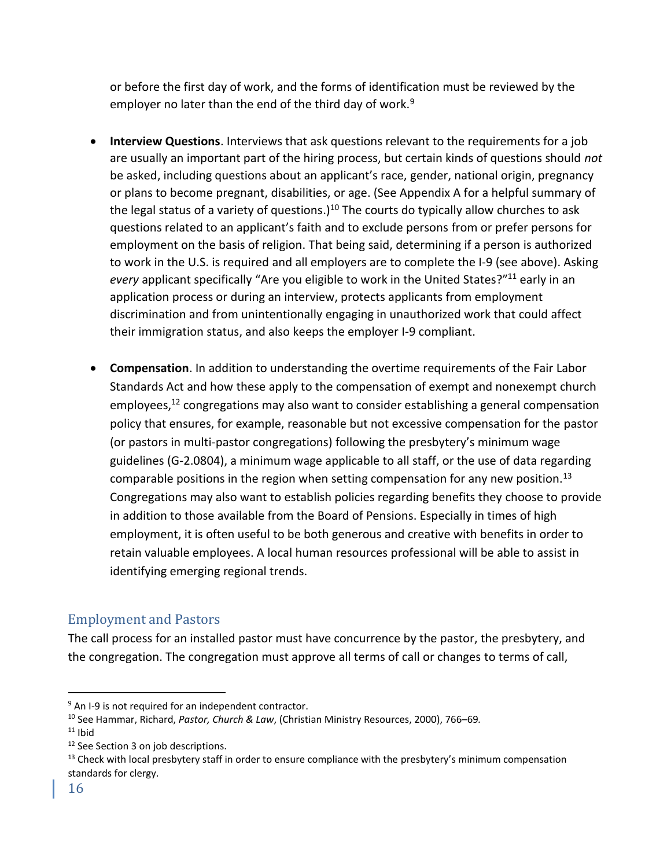or before the first day of work, and the forms of identification must be reviewed by the employer no later than the end of the third day of work.<sup>9</sup>

- **Interview Questions**. Interviews that ask questions relevant to the requirements for a job are usually an important part of the hiring process, but certain kinds of questions should *not* be asked, including questions about an applicant's race, gender, national origin, pregnancy or plans to become pregnant, disabilities, or age. (See Appendix A for a helpful summary of the legal status of a variety of questions.)<sup>10</sup> The courts do typically allow churches to ask questions related to an applicant's faith and to exclude persons from or prefer persons for employment on the basis of religion. That being said, determining if a person is authorized to work in the U.S. is required and all employers are to complete the I-9 (see above). Asking every applicant specifically "Are you eligible to work in the United States?"<sup>11</sup> early in an application process or during an interview, protects applicants from employment discrimination and from unintentionally engaging in unauthorized work that could affect their immigration status, and also keeps the employer I-9 compliant.
- **Compensation**. In addition to understanding the overtime requirements of the Fair Labor Standards Act and how these apply to the compensation of exempt and nonexempt church employees, <sup>12</sup> congregations may also want to consider establishing a general compensation policy that ensures, for example, reasonable but not excessive compensation for the pastor (or pastors in multi-pastor congregations) following the presbytery's minimum wage guidelines (G-2.0804), a minimum wage applicable to all staff, or the use of data regarding comparable positions in the region when setting compensation for any new position.<sup>13</sup> Congregations may also want to establish policies regarding benefits they choose to provide in addition to those available from the Board of Pensions. Especially in times of high employment, it is often useful to be both generous and creative with benefits in order to retain valuable employees. A local human resources professional will be able to assist in identifying emerging regional trends.

# <span id="page-15-0"></span>Employment and Pastors

The call process for an installed pastor must have concurrence by the pastor, the presbytery, and the congregation. The congregation must approve all terms of call or changes to terms of call,

<sup>12</sup> See Section 3 on job descriptions.

<sup>13</sup> Check with local presbytery staff in order to ensure compliance with the presbytery's minimum compensation standards for clergy.

 $9$  An I-9 is not required for an independent contractor.

<sup>10</sup> See Hammar, Richard, *Pastor, Church & Law*, (Christian Ministry Resources, 2000), 766–69*.*   $11$  Ibid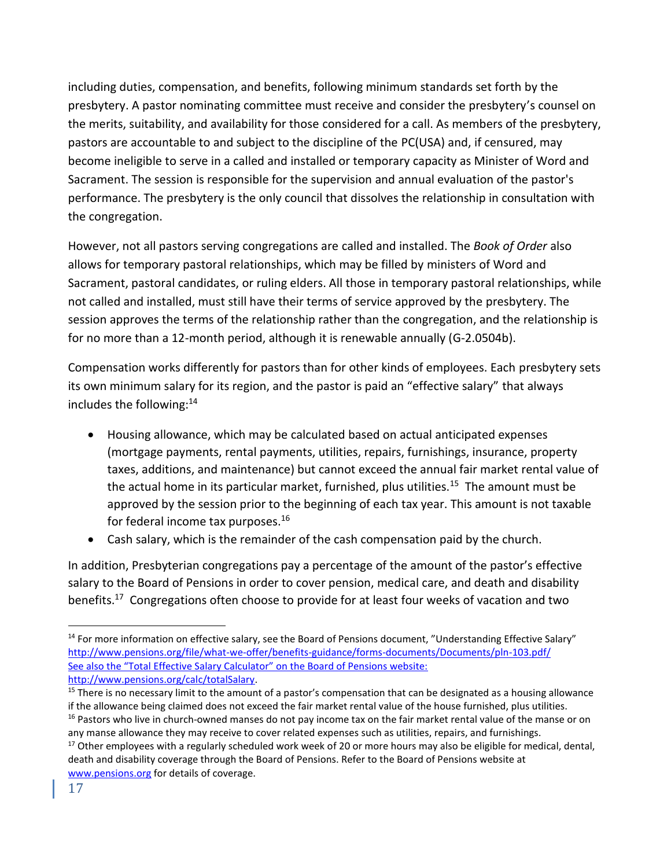including duties, compensation, and benefits, following minimum standards set forth by the presbytery. A pastor nominating committee must receive and consider the presbytery's counsel on the merits, suitability, and availability for those considered for a call. As members of the presbytery, pastors are accountable to and subject to the discipline of the PC(USA) and, if censured, may become ineligible to serve in a called and installed or temporary capacity as Minister of Word and Sacrament. The session is responsible for the supervision and annual evaluation of the pastor's performance. The presbytery is the only council that dissolves the relationship in consultation with the congregation.

However, not all pastors serving congregations are called and installed. The *Book of Order* also allows for temporary pastoral relationships, which may be filled by ministers of Word and Sacrament, pastoral candidates, or ruling elders. All those in temporary pastoral relationships, while not called and installed, must still have their terms of service approved by the presbytery. The session approves the terms of the relationship rather than the congregation, and the relationship is for no more than a 12-month period, although it is renewable annually (G-2.0504b).

Compensation works differently for pastors than for other kinds of employees. Each presbytery sets its own minimum salary for its region, and the pastor is paid an "effective salary" that always includes the following:<sup>14</sup>

- Housing allowance, which may be calculated based on actual anticipated expenses (mortgage payments, rental payments, utilities, repairs, furnishings, insurance, property taxes, additions, and maintenance) but cannot exceed the annual fair market rental value of the actual home in its particular market, furnished, plus utilities.<sup>15</sup> The amount must be approved by the session prior to the beginning of each tax year. This amount is not taxable for federal income tax purposes.<sup>16</sup>
- Cash salary, which is the remainder of the cash compensation paid by the church.

In addition, Presbyterian congregations pay a percentage of the amount of the pastor's effective salary to the Board of Pensions in order to cover pension, medical care, and death and disability benefits.<sup>17</sup> Congregations often choose to provide for at least four weeks of vacation and two

<sup>&</sup>lt;sup>14</sup> For more information on effective salary, see the Board of Pensions document, "Understanding Effective Salary" <http://www.pensions.org/file/what-we-offer/benefits-guidance/forms-documents/Documents/pln-103.pdf/> See also the "Total Effective Salary Calculator" on the Board of Pensions website: http://www.pensions.org/calc/totalSalary.

 $15$  There is no necessary limit to the amount of a pastor's compensation that can be designated as a housing allowance if the allowance being claimed does not exceed the fair market rental value of the house furnished, plus utilities. <sup>16</sup> Pastors who live in church-owned manses do not pay income tax on the fair market rental value of the manse or on any manse allowance they may receive to cover related expenses such as utilities, repairs, and furnishings.

 $17$  Other employees with a regularly scheduled work week of 20 or more hours may also be eligible for medical, dental, death and disability coverage through the Board of Pensions. Refer to the Board of Pensions website at [www.pensions.org](http://www.pensions.org/) for details of coverage.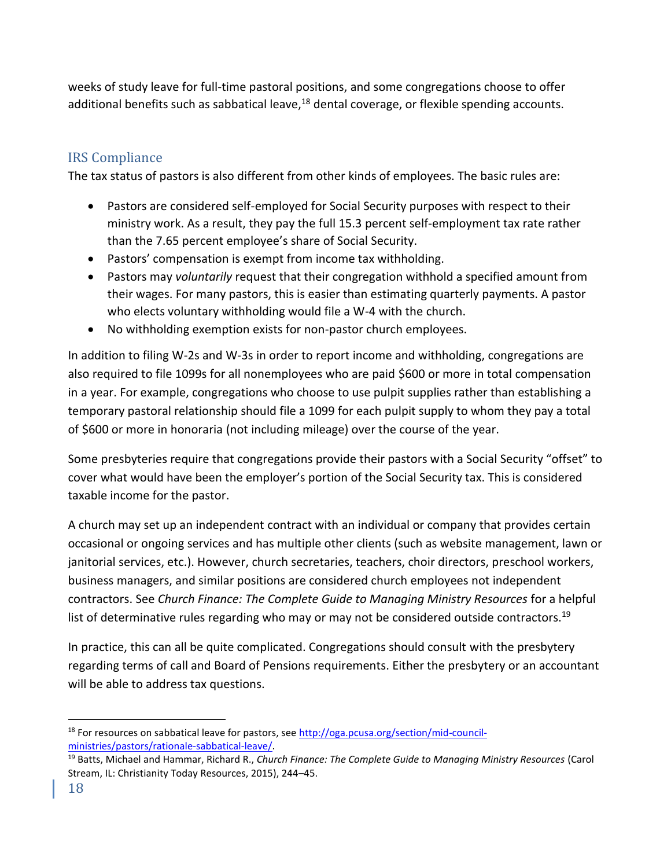weeks of study leave for full-time pastoral positions, and some congregations choose to offer additional benefits such as sabbatical leave, $18$  dental coverage, or flexible spending accounts.

# <span id="page-17-0"></span>IRS Compliance

The tax status of pastors is also different from other kinds of employees. The basic rules are:

- Pastors are considered self-employed for Social Security purposes with respect to their ministry work. As a result, they pay the full 15.3 percent self-employment tax rate rather than the 7.65 percent employee's share of Social Security.
- Pastors' compensation is exempt from income tax withholding.
- Pastors may *voluntarily* request that their congregation withhold a specified amount from their wages. For many pastors, this is easier than estimating quarterly payments. A pastor who elects voluntary withholding would file a W-4 with the church.
- No withholding exemption exists for non-pastor church employees.

In addition to filing W-2s and W-3s in order to report income and withholding, congregations are also required to file 1099s for all nonemployees who are paid \$600 or more in total compensation in a year. For example, congregations who choose to use pulpit supplies rather than establishing a temporary pastoral relationship should file a 1099 for each pulpit supply to whom they pay a total of \$600 or more in honoraria (not including mileage) over the course of the year.

Some presbyteries require that congregations provide their pastors with a Social Security "offset" to cover what would have been the employer's portion of the Social Security tax. This is considered taxable income for the pastor.

A church may set up an independent contract with an individual or company that provides certain occasional or ongoing services and has multiple other clients (such as website management, lawn or janitorial services, etc.). However, church secretaries, teachers, choir directors, preschool workers, business managers, and similar positions are considered church employees not independent contractors. See *Church Finance: The Complete Guide to Managing Ministry Resources* for a helpful list of determinative rules regarding who may or may not be considered outside contractors.<sup>19</sup>

In practice, this can all be quite complicated. Congregations should consult with the presbytery regarding terms of call and Board of Pensions requirements. Either the presbytery or an accountant will be able to address tax questions.

<sup>18</sup> For resources on sabbatical leave for pastors, see [http://oga.pcusa.org/section/mid-council](http://oga.pcusa.org/section/mid-council-ministries/ministers/rationale-sabbatical-leave/)[ministries/pastors/rationale-sabbatical-leave/.](http://oga.pcusa.org/section/mid-council-ministries/ministers/rationale-sabbatical-leave/)

<sup>19</sup> Batts, Michael and Hammar, Richard R., *Church Finance: The Complete Guide to Managing Ministry Resources* (Carol Stream, IL: Christianity Today Resources, 2015), 244–45.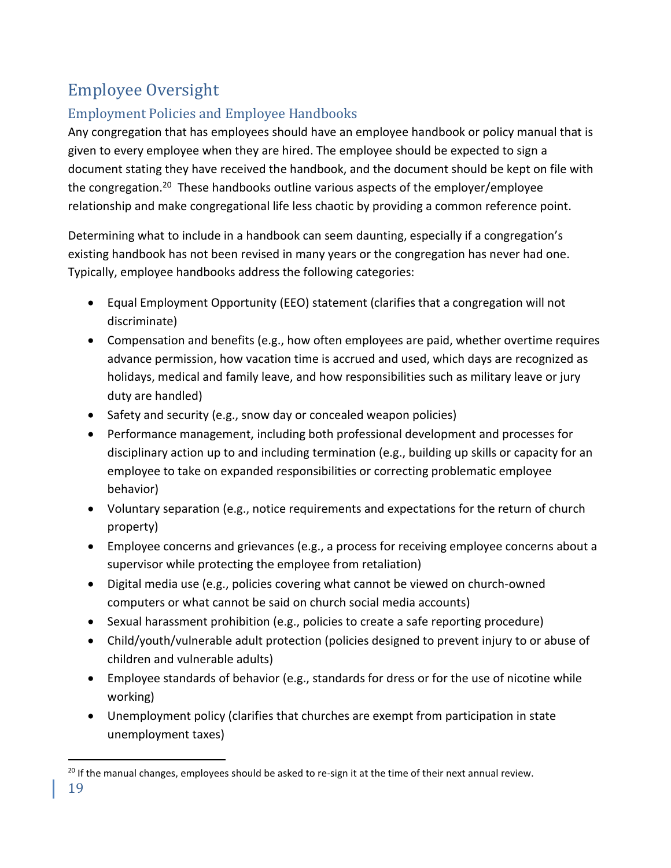# <span id="page-18-0"></span>Employee Oversight

# <span id="page-18-1"></span>Employment Policies and Employee Handbooks

Any congregation that has employees should have an employee handbook or policy manual that is given to every employee when they are hired. The employee should be expected to sign a document stating they have received the handbook, and the document should be kept on file with the congregation.<sup>20</sup> These handbooks outline various aspects of the employer/employee relationship and make congregational life less chaotic by providing a common reference point.

Determining what to include in a handbook can seem daunting, especially if a congregation's existing handbook has not been revised in many years or the congregation has never had one. Typically, employee handbooks address the following categories:

- Equal Employment Opportunity (EEO) statement (clarifies that a congregation will not discriminate)
- Compensation and benefits (e.g., how often employees are paid, whether overtime requires advance permission, how vacation time is accrued and used, which days are recognized as holidays, medical and family leave, and how responsibilities such as military leave or jury duty are handled)
- Safety and security (e.g., snow day or concealed weapon policies)
- Performance management, including both professional development and processes for disciplinary action up to and including termination (e.g., building up skills or capacity for an employee to take on expanded responsibilities or correcting problematic employee behavior)
- Voluntary separation (e.g., notice requirements and expectations for the return of church property)
- Employee concerns and grievances (e.g., a process for receiving employee concerns about a supervisor while protecting the employee from retaliation)
- Digital media use (e.g., policies covering what cannot be viewed on church-owned computers or what cannot be said on church social media accounts)
- Sexual harassment prohibition (e.g., policies to create a safe reporting procedure)
- Child/youth/vulnerable adult protection (policies designed to prevent injury to or abuse of children and vulnerable adults)
- Employee standards of behavior (e.g., standards for dress or for the use of nicotine while working)
- Unemployment policy (clarifies that churches are exempt from participation in state unemployment taxes)

 $^{20}$  If the manual changes, employees should be asked to re-sign it at the time of their next annual review.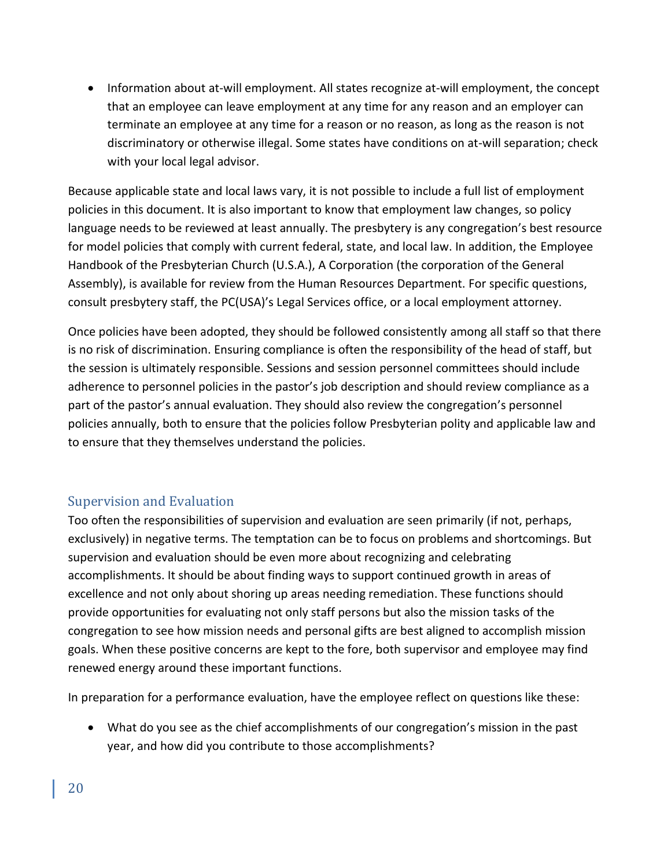• Information about at-will employment. All states recognize at-will employment, the concept that an employee can leave employment at any time for any reason and an employer can terminate an employee at any time for a reason or no reason, as long as the reason is not discriminatory or otherwise illegal. Some states have conditions on at-will separation; check with your local legal advisor.

Because applicable state and local laws vary, it is not possible to include a full list of employment policies in this document. It is also important to know that employment law changes, so policy language needs to be reviewed at least annually. The presbytery is any congregation's best resource for model policies that comply with current federal, state, and local law. In addition, the Employee Handbook of the Presbyterian Church (U.S.A.), A Corporation (the corporation of the General Assembly), is available for review from the Human Resources Department. For specific questions, consult presbytery staff, the PC(USA)'s Legal Services office, or a local employment attorney.

Once policies have been adopted, they should be followed consistently among all staff so that there is no risk of discrimination. Ensuring compliance is often the responsibility of the head of staff, but the session is ultimately responsible. Sessions and session personnel committees should include adherence to personnel policies in the pastor's job description and should review compliance as a part of the pastor's annual evaluation. They should also review the congregation's personnel policies annually, both to ensure that the policies follow Presbyterian polity and applicable law and to ensure that they themselves understand the policies.

## <span id="page-19-0"></span>Supervision and Evaluation

Too often the responsibilities of supervision and evaluation are seen primarily (if not, perhaps, exclusively) in negative terms. The temptation can be to focus on problems and shortcomings. But supervision and evaluation should be even more about recognizing and celebrating accomplishments. It should be about finding ways to support continued growth in areas of excellence and not only about shoring up areas needing remediation. These functions should provide opportunities for evaluating not only staff persons but also the mission tasks of the congregation to see how mission needs and personal gifts are best aligned to accomplish mission goals. When these positive concerns are kept to the fore, both supervisor and employee may find renewed energy around these important functions.

In preparation for a performance evaluation, have the employee reflect on questions like these:

• What do you see as the chief accomplishments of our congregation's mission in the past year, and how did you contribute to those accomplishments?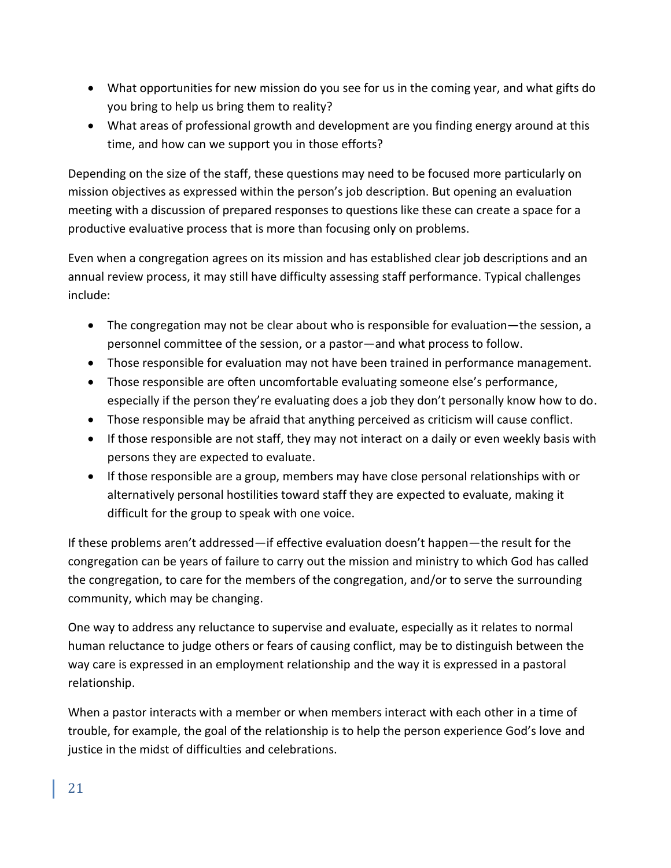- What opportunities for new mission do you see for us in the coming year, and what gifts do you bring to help us bring them to reality?
- What areas of professional growth and development are you finding energy around at this time, and how can we support you in those efforts?

Depending on the size of the staff, these questions may need to be focused more particularly on mission objectives as expressed within the person's job description. But opening an evaluation meeting with a discussion of prepared responses to questions like these can create a space for a productive evaluative process that is more than focusing only on problems.

Even when a congregation agrees on its mission and has established clear job descriptions and an annual review process, it may still have difficulty assessing staff performance. Typical challenges include:

- The congregation may not be clear about who is responsible for evaluation—the session, a personnel committee of the session, or a pastor—and what process to follow.
- Those responsible for evaluation may not have been trained in performance management.
- Those responsible are often uncomfortable evaluating someone else's performance, especially if the person they're evaluating does a job they don't personally know how to do.
- Those responsible may be afraid that anything perceived as criticism will cause conflict.
- If those responsible are not staff, they may not interact on a daily or even weekly basis with persons they are expected to evaluate.
- If those responsible are a group, members may have close personal relationships with or alternatively personal hostilities toward staff they are expected to evaluate, making it difficult for the group to speak with one voice.

If these problems aren't addressed—if effective evaluation doesn't happen—the result for the congregation can be years of failure to carry out the mission and ministry to which God has called the congregation, to care for the members of the congregation, and/or to serve the surrounding community, which may be changing.

One way to address any reluctance to supervise and evaluate, especially as it relates to normal human reluctance to judge others or fears of causing conflict, may be to distinguish between the way care is expressed in an employment relationship and the way it is expressed in a pastoral relationship.

When a pastor interacts with a member or when members interact with each other in a time of trouble, for example, the goal of the relationship is to help the person experience God's love and justice in the midst of difficulties and celebrations.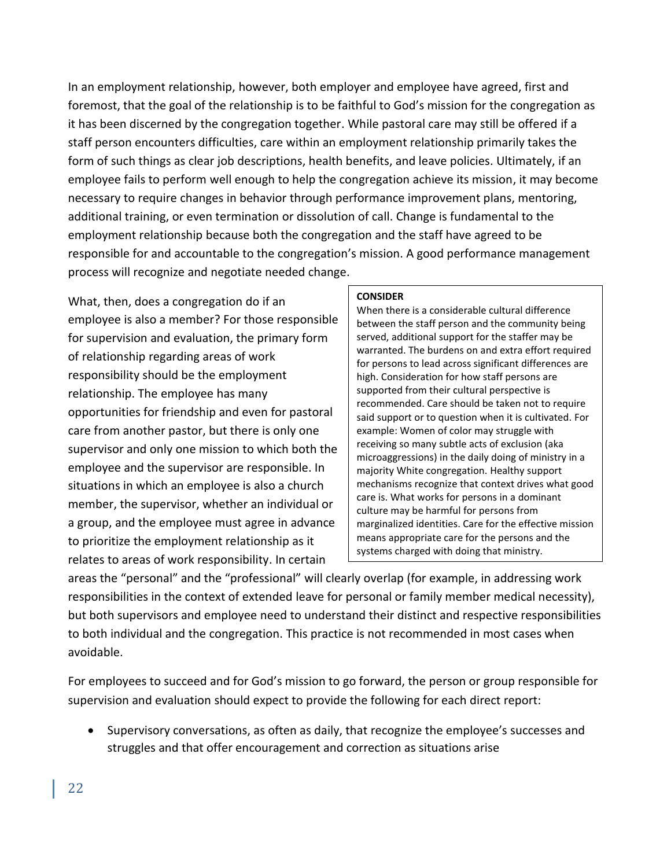In an employment relationship, however, both employer and employee have agreed, first and foremost, that the goal of the relationship is to be faithful to God's mission for the congregation as it has been discerned by the congregation together. While pastoral care may still be offered if a staff person encounters difficulties, care within an employment relationship primarily takes the form of such things as clear job descriptions, health benefits, and leave policies. Ultimately, if an employee fails to perform well enough to help the congregation achieve its mission, it may become necessary to require changes in behavior through performance improvement plans, mentoring, additional training, or even termination or dissolution of call. Change is fundamental to the employment relationship because both the congregation and the staff have agreed to be responsible for and accountable to the congregation's mission. A good performance management process will recognize and negotiate needed change.

What, then, does a congregation do if an employee is also a member? For those responsible for supervision and evaluation, the primary form of relationship regarding areas of work responsibility should be the employment relationship. The employee has many opportunities for friendship and even for pastoral care from another pastor, but there is only one supervisor and only one mission to which both the employee and the supervisor are responsible. In situations in which an employee is also a church member, the supervisor, whether an individual or a group, and the employee must agree in advance to prioritize the employment relationship as it relates to areas of work responsibility. In certain

#### **CONSIDER**

When there is a considerable cultural difference between the staff person and the community being served, additional support for the staffer may be warranted. The burdens on and extra effort required for persons to lead across significant differences are high. Consideration for how staff persons are supported from their cultural perspective is recommended. Care should be taken not to require said support or to question when it is cultivated. For example: Women of color may struggle with receiving so many subtle acts of exclusion (aka microaggressions) in the daily doing of ministry in a majority White congregation. Healthy support mechanisms recognize that context drives what good care is. What works for persons in a dominant culture may be harmful for persons from marginalized identities. Care for the effective mission means appropriate care for the persons and the systems charged with doing that ministry.

areas the "personal" and the "professional" will clearly overlap (for example, in addressing work responsibilities in the context of extended leave for personal or family member medical necessity), but both supervisors and employee need to understand their distinct and respective responsibilities to both individual and the congregation. This practice is not recommended in most cases when avoidable.

For employees to succeed and for God's mission to go forward, the person or group responsible for supervision and evaluation should expect to provide the following for each direct report:

• Supervisory conversations, as often as daily, that recognize the employee's successes and struggles and that offer encouragement and correction as situations arise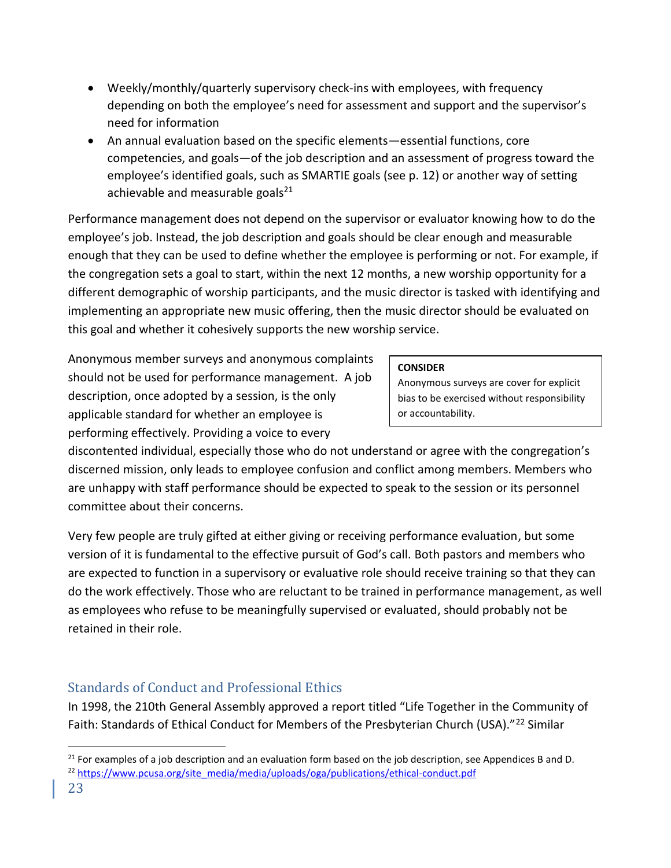- Weekly/monthly/quarterly supervisory check-ins with employees, with frequency depending on both the employee's need for assessment and support and the supervisor's need for information
- An annual evaluation based on the specific elements—essential functions, core competencies, and goals—of the job description and an assessment of progress toward the employee's identified goals, such as SMARTIE goals (see p. 12) or another way of setting achievable and measurable goals $^{21}$

Performance management does not depend on the supervisor or evaluator knowing how to do the employee's job. Instead, the job description and goals should be clear enough and measurable enough that they can be used to define whether the employee is performing or not. For example, if the congregation sets a goal to start, within the next 12 months, a new worship opportunity for a different demographic of worship participants, and the music director is tasked with identifying and implementing an appropriate new music offering, then the music director should be evaluated on this goal and whether it cohesively supports the new worship service.

Anonymous member surveys and anonymous complaints should not be used for performance management. A job description, once adopted by a session, is the only applicable standard for whether an employee is performing effectively. Providing a voice to every

#### **CONSIDER**

Anonymous surveys are cover for explicit bias to be exercised without responsibility or accountability.

discontented individual, especially those who do not understand or agree with the congregation's discerned mission, only leads to employee confusion and conflict among members. Members who are unhappy with staff performance should be expected to speak to the session or its personnel committee about their concerns.

Very few people are truly gifted at either giving or receiving performance evaluation, but some version of it is fundamental to the effective pursuit of God's call. Both pastors and members who are expected to function in a supervisory or evaluative role should receive training so that they can do the work effectively. Those who are reluctant to be trained in performance management, as well as employees who refuse to be meaningfully supervised or evaluated, should probably not be retained in their role.

# <span id="page-22-0"></span>Standards of Conduct and Professional Ethics

In 1998, the 210th General Assembly approved a report titled "Life Together in the Community of Faith: Standards of Ethical Conduct for Members of the Presbyterian Church (USA)."<sup>22</sup> Similar

 $21$  For examples of a job description and an evaluation form based on the job description, see Appendices B and D. <sup>22</sup> [https://www.pcusa.org/site\\_media/media/uploads/oga/publications/ethical-conduct.pdf](https://www.pcusa.org/site_media/media/uploads/oga/publications/ethical-conduct.pdf)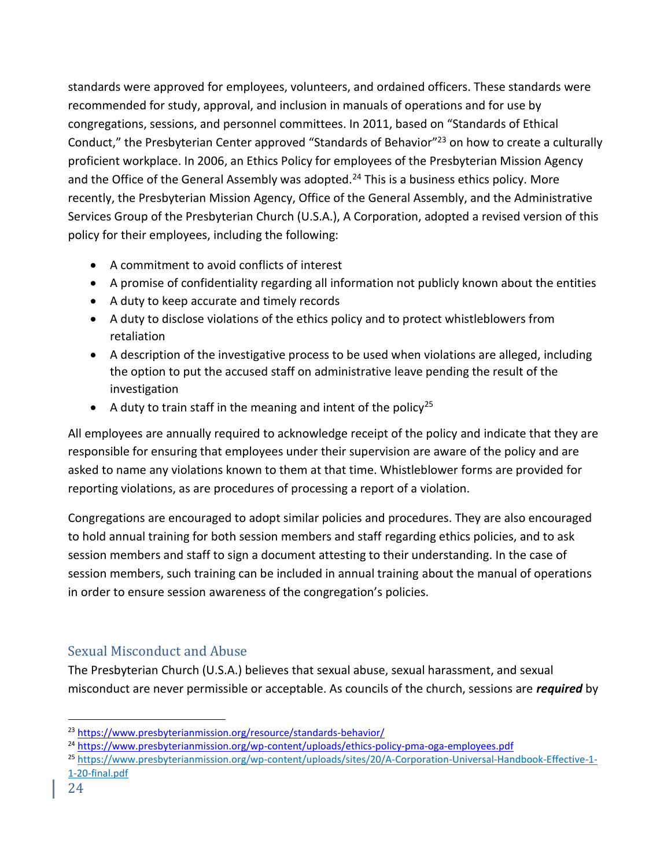standards were approved for employees, volunteers, and ordained officers. These standards were recommended for study, approval, and inclusion in manuals of operations and for use by congregations, sessions, and personnel committees. In 2011, based on "Standards of Ethical Conduct," the Presbyterian Center approved "Standards of Behavior"<sup>23</sup> on how to create a culturally proficient workplace. In 2006, an Ethics Policy for employees of the Presbyterian Mission Agency and the Office of the General Assembly was adopted.<sup>24</sup> This is a business ethics policy. More recently, the Presbyterian Mission Agency, Office of the General Assembly, and the Administrative Services Group of the Presbyterian Church (U.S.A.), A Corporation, adopted a revised version of this policy for their employees, including the following:

- A commitment to avoid conflicts of interest
- A promise of confidentiality regarding all information not publicly known about the entities
- A duty to keep accurate and timely records
- A duty to disclose violations of the ethics policy and to protect whistleblowers from retaliation
- A description of the investigative process to be used when violations are alleged, including the option to put the accused staff on administrative leave pending the result of the investigation
- A duty to train staff in the meaning and intent of the policy<sup>25</sup>

All employees are annually required to acknowledge receipt of the policy and indicate that they are responsible for ensuring that employees under their supervision are aware of the policy and are asked to name any violations known to them at that time. Whistleblower forms are provided for reporting violations, as are procedures of processing a report of a violation.

Congregations are encouraged to adopt similar policies and procedures. They are also encouraged to hold annual training for both session members and staff regarding ethics policies, and to ask session members and staff to sign a document attesting to their understanding. In the case of session members, such training can be included in annual training about the manual of operations in order to ensure session awareness of the congregation's policies.

# <span id="page-23-0"></span>Sexual Misconduct and Abuse

The Presbyterian Church (U.S.A.) believes that sexual abuse, sexual harassment, and sexual misconduct are never permissible or acceptable. As councils of the church, sessions are *required* by

<sup>25</sup> [https://www.presbyterianmission.org/wp-content/uploads/sites/20/A-Corporation-Universal-Handbook-Effective-1-](https://www.presbyterianmission.org/wp-content/uploads/sites/20/A-Corporation-Universal-Handbook-Effective-1-1-20-final.pdf) [1-20-final.pdf](https://www.presbyterianmission.org/wp-content/uploads/sites/20/A-Corporation-Universal-Handbook-Effective-1-1-20-final.pdf)

<sup>23</sup> <https://www.presbyterianmission.org/resource/standards-behavior/>

<sup>24</sup> <https://www.presbyterianmission.org/wp-content/uploads/ethics-policy-pma-oga-employees.pdf>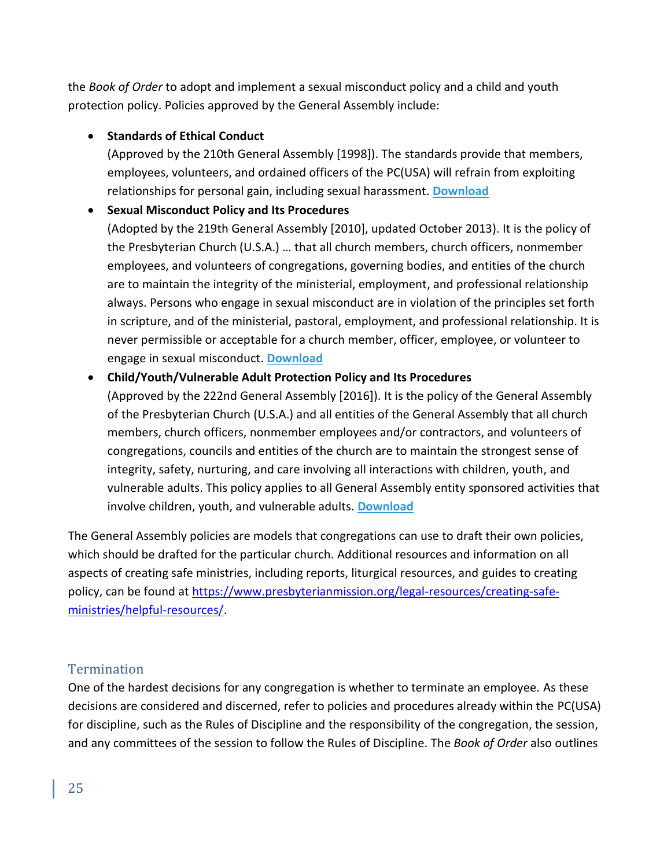the *Book of Order* to adopt and implement a sexual misconduct policy and a child and youth protection policy. Policies approved by the General Assembly include:

### • **Standards of Ethical Conduct**

(Approved by the 210th General Assembly [1998]). The standards provide that members, employees, volunteers, and ordained officers of the PC(USA) will refrain from exploiting relationships for personal gain, including sexual harassment. **[Download](http://oga.pcusa.org/media/uploads/oga/pdf/ethical-conduct.pdf)**

## • **Sexual Misconduct Policy and Its Procedures**

(Adopted by the 219th General Assembly [2010], updated October 2013). It is the policy of the Presbyterian Church (U.S.A.) … that all church members, church officers, nonmember employees, and volunteers of congregations, governing bodies, and entities of the church are to maintain the integrity of the ministerial, employment, and professional relationship always. Persons who engage in sexual misconduct are in violation of the principles set forth in scripture, and of the ministerial, pastoral, employment, and professional relationship. It is never permissible or acceptable for a church member, officer, employee, or volunteer to engage in sexual misconduct. **[Download](http://www.pcusa.org/resource/presbyterian-church-us-sexual-misconduct-policy-an/)**

#### • **Child/Youth/Vulnerable Adult Protection Policy and Its Procedures**

(Approved by the 222nd General Assembly [2016]). It is the policy of the General Assembly of the Presbyterian Church (U.S.A.) and all entities of the General Assembly that all church members, church officers, nonmember employees and/or contractors, and volunteers of congregations, councils and entities of the church are to maintain the strongest sense of integrity, safety, nurturing, and care involving all interactions with children, youth, and vulnerable adults. This policy applies to all General Assembly entity sponsored activities that involve children, youth, and vulnerable adults. **[Download](https://www.presbyterianmission.org/wp-content/uploads/Child-Youth-Vulnerable-Adult-Protection-Policy-Approved-by-GA-2016.pdf)**

The General Assembly policies are models that congregations can use to draft their own policies, which should be drafted for the particular church. Additional resources and information on all aspects of creating safe ministries, including reports, liturgical resources, and guides to creating policy, can be found at [https://www.presbyterianmission.org/legal-resources/creating-safe](https://www.presbyterianmission.org/legal-resources/creating-safe-ministries/helpful-resources/)[ministries/helpful-resources/.](https://www.presbyterianmission.org/legal-resources/creating-safe-ministries/helpful-resources/)

## <span id="page-24-0"></span>**Termination**

One of the hardest decisions for any congregation is whether to terminate an employee. As these decisions are considered and discerned, refer to policies and procedures already within the PC(USA) for discipline, such as the Rules of Discipline and the responsibility of the congregation, the session, and any committees of the session to follow the Rules of Discipline. The *Book of Order* also outlines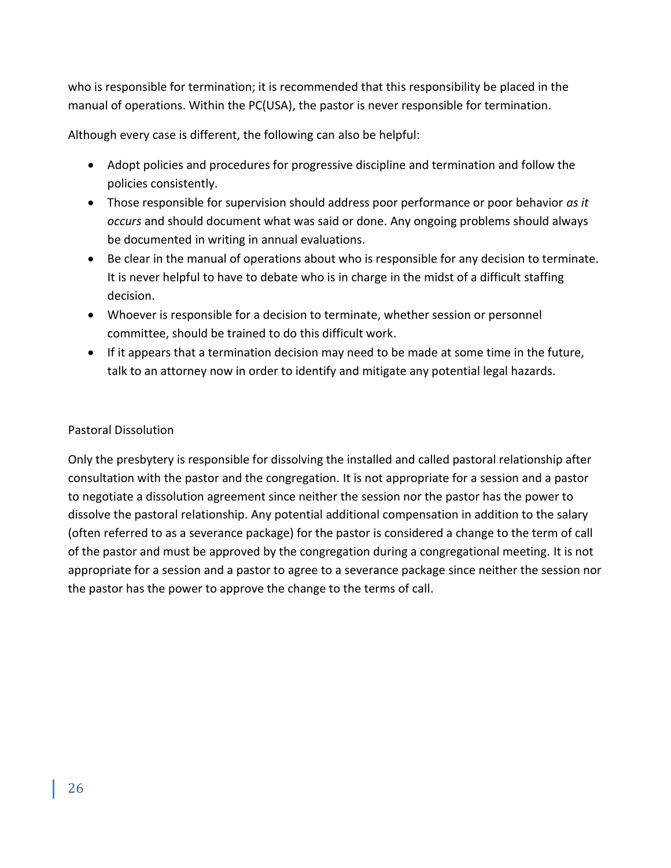who is responsible for termination; it is recommended that this responsibility be placed in the manual of operations. Within the PC(USA), the pastor is never responsible for termination.

Although every case is different, the following can also be helpful:

- Adopt policies and procedures for progressive discipline and termination and follow the policies consistently.
- Those responsible for supervision should address poor performance or poor behavior *as it occurs* and should document what was said or done. Any ongoing problems should always be documented in writing in annual evaluations.
- Be clear in the manual of operations about who is responsible for any decision to terminate. It is never helpful to have to debate who is in charge in the midst of a difficult staffing decision.
- Whoever is responsible for a decision to terminate, whether session or personnel committee, should be trained to do this difficult work.
- If it appears that a termination decision may need to be made at some time in the future, talk to an attorney now in order to identify and mitigate any potential legal hazards.

#### Pastoral Dissolution

Only the presbytery is responsible for dissolving the installed and called pastoral relationship after consultation with the pastor and the congregation. It is not appropriate for a session and a pastor to negotiate a dissolution agreement since neither the session nor the pastor has the power to dissolve the pastoral relationship. Any potential additional compensation in addition to the salary (often referred to as a severance package) for the pastor is considered a change to the term of call of the pastor and must be approved by the congregation during a congregational meeting. It is not appropriate for a session and a pastor to agree to a severance package since neither the session nor the pastor has the power to approve the change to the terms of call.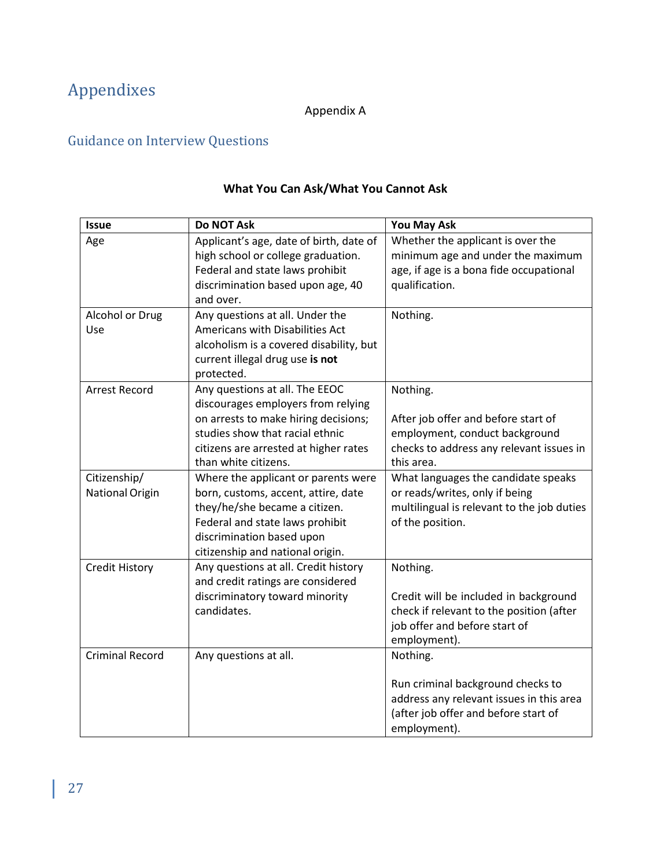# <span id="page-26-0"></span>Appendixes

# Appendix A

# <span id="page-26-1"></span>Guidance on Interview Questions

| <b>Issue</b>                           | <b>Do NOT Ask</b>                                                                                                                                                                                                | You May Ask                                                                                                                                       |
|----------------------------------------|------------------------------------------------------------------------------------------------------------------------------------------------------------------------------------------------------------------|---------------------------------------------------------------------------------------------------------------------------------------------------|
| Age                                    | Applicant's age, date of birth, date of<br>high school or college graduation.<br>Federal and state laws prohibit<br>discrimination based upon age, 40<br>and over.                                               | Whether the applicant is over the<br>minimum age and under the maximum<br>age, if age is a bona fide occupational<br>qualification.               |
| Alcohol or Drug<br>Use                 | Any questions at all. Under the<br>Americans with Disabilities Act<br>alcoholism is a covered disability, but<br>current illegal drug use is not<br>protected.                                                   | Nothing.                                                                                                                                          |
| <b>Arrest Record</b>                   | Any questions at all. The EEOC<br>discourages employers from relying<br>on arrests to make hiring decisions;<br>studies show that racial ethnic<br>citizens are arrested at higher rates<br>than white citizens. | Nothing.<br>After job offer and before start of<br>employment, conduct background<br>checks to address any relevant issues in<br>this area.       |
| Citizenship/<br><b>National Origin</b> | Where the applicant or parents were<br>born, customs, accent, attire, date<br>they/he/she became a citizen.<br>Federal and state laws prohibit<br>discrimination based upon<br>citizenship and national origin.  | What languages the candidate speaks<br>or reads/writes, only if being<br>multilingual is relevant to the job duties<br>of the position.           |
| <b>Credit History</b>                  | Any questions at all. Credit history<br>and credit ratings are considered<br>discriminatory toward minority<br>candidates.                                                                                       | Nothing.<br>Credit will be included in background<br>check if relevant to the position (after<br>job offer and before start of<br>employment).    |
| <b>Criminal Record</b>                 | Any questions at all.                                                                                                                                                                                            | Nothing.<br>Run criminal background checks to<br>address any relevant issues in this area<br>(after job offer and before start of<br>employment). |

# **What You Can Ask/What You Cannot Ask**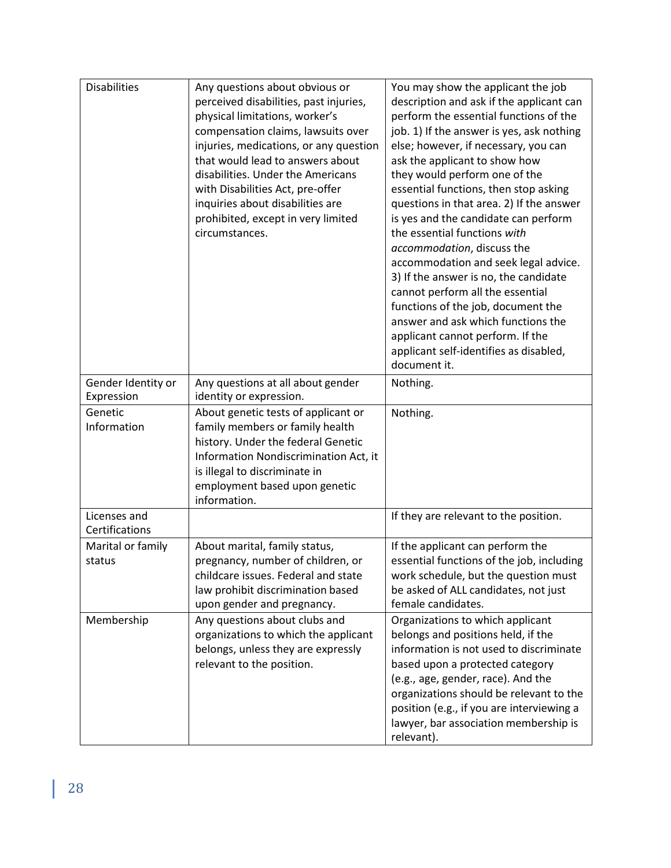| <b>Disabilities</b>              | Any questions about obvious or<br>perceived disabilities, past injuries,<br>physical limitations, worker's<br>compensation claims, lawsuits over<br>injuries, medications, or any question<br>that would lead to answers about<br>disabilities. Under the Americans<br>with Disabilities Act, pre-offer<br>inquiries about disabilities are<br>prohibited, except in very limited<br>circumstances. | You may show the applicant the job<br>description and ask if the applicant can<br>perform the essential functions of the<br>job. 1) If the answer is yes, ask nothing<br>else; however, if necessary, you can<br>ask the applicant to show how<br>they would perform one of the<br>essential functions, then stop asking<br>questions in that area. 2) If the answer<br>is yes and the candidate can perform<br>the essential functions with<br>accommodation, discuss the<br>accommodation and seek legal advice.<br>3) If the answer is no, the candidate<br>cannot perform all the essential<br>functions of the job, document the<br>answer and ask which functions the<br>applicant cannot perform. If the<br>applicant self-identifies as disabled,<br>document it. |
|----------------------------------|-----------------------------------------------------------------------------------------------------------------------------------------------------------------------------------------------------------------------------------------------------------------------------------------------------------------------------------------------------------------------------------------------------|---------------------------------------------------------------------------------------------------------------------------------------------------------------------------------------------------------------------------------------------------------------------------------------------------------------------------------------------------------------------------------------------------------------------------------------------------------------------------------------------------------------------------------------------------------------------------------------------------------------------------------------------------------------------------------------------------------------------------------------------------------------------------|
| Gender Identity or<br>Expression | Any questions at all about gender<br>identity or expression.                                                                                                                                                                                                                                                                                                                                        | Nothing.                                                                                                                                                                                                                                                                                                                                                                                                                                                                                                                                                                                                                                                                                                                                                                  |
| Genetic<br>Information           | About genetic tests of applicant or<br>family members or family health<br>history. Under the federal Genetic<br>Information Nondiscrimination Act, it<br>is illegal to discriminate in<br>employment based upon genetic<br>information.                                                                                                                                                             | Nothing.                                                                                                                                                                                                                                                                                                                                                                                                                                                                                                                                                                                                                                                                                                                                                                  |
| Licenses and<br>Certifications   |                                                                                                                                                                                                                                                                                                                                                                                                     | If they are relevant to the position.                                                                                                                                                                                                                                                                                                                                                                                                                                                                                                                                                                                                                                                                                                                                     |
| Marital or family<br>status      | About marital, family status,<br>pregnancy, number of children, or<br>childcare issues. Federal and state<br>law prohibit discrimination based<br>upon gender and pregnancy.                                                                                                                                                                                                                        | If the applicant can perform the<br>essential functions of the job, including<br>work schedule, but the question must<br>be asked of ALL candidates, not just<br>female candidates.                                                                                                                                                                                                                                                                                                                                                                                                                                                                                                                                                                                       |
| Membership                       | Any questions about clubs and<br>organizations to which the applicant<br>belongs, unless they are expressly<br>relevant to the position.                                                                                                                                                                                                                                                            | Organizations to which applicant<br>belongs and positions held, if the<br>information is not used to discriminate<br>based upon a protected category<br>(e.g., age, gender, race). And the<br>organizations should be relevant to the<br>position (e.g., if you are interviewing a<br>lawyer, bar association membership is<br>relevant).                                                                                                                                                                                                                                                                                                                                                                                                                                 |

 $\mathbb{R}$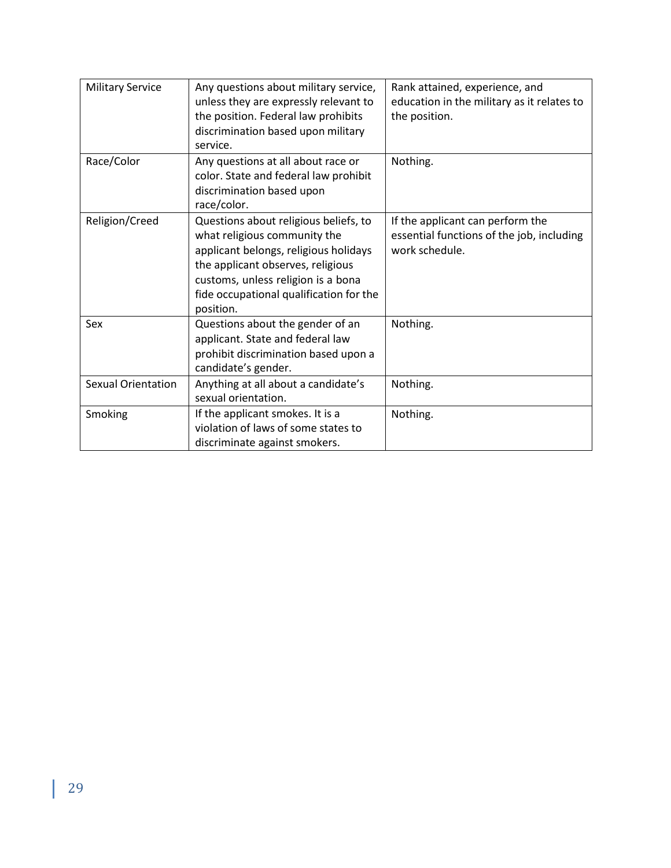| <b>Military Service</b>   | Any questions about military service,<br>unless they are expressly relevant to<br>the position. Federal law prohibits<br>discrimination based upon military<br>service.                                                                           | Rank attained, experience, and<br>education in the military as it relates to<br>the position.   |
|---------------------------|---------------------------------------------------------------------------------------------------------------------------------------------------------------------------------------------------------------------------------------------------|-------------------------------------------------------------------------------------------------|
| Race/Color                | Any questions at all about race or<br>color. State and federal law prohibit<br>discrimination based upon<br>race/color.                                                                                                                           | Nothing.                                                                                        |
| Religion/Creed            | Questions about religious beliefs, to<br>what religious community the<br>applicant belongs, religious holidays<br>the applicant observes, religious<br>customs, unless religion is a bona<br>fide occupational qualification for the<br>position. | If the applicant can perform the<br>essential functions of the job, including<br>work schedule. |
| Sex                       | Questions about the gender of an<br>applicant. State and federal law<br>prohibit discrimination based upon a<br>candidate's gender.                                                                                                               | Nothing.                                                                                        |
| <b>Sexual Orientation</b> | Anything at all about a candidate's<br>sexual orientation.                                                                                                                                                                                        | Nothing.                                                                                        |
| Smoking                   | If the applicant smokes. It is a<br>violation of laws of some states to<br>discriminate against smokers.                                                                                                                                          | Nothing.                                                                                        |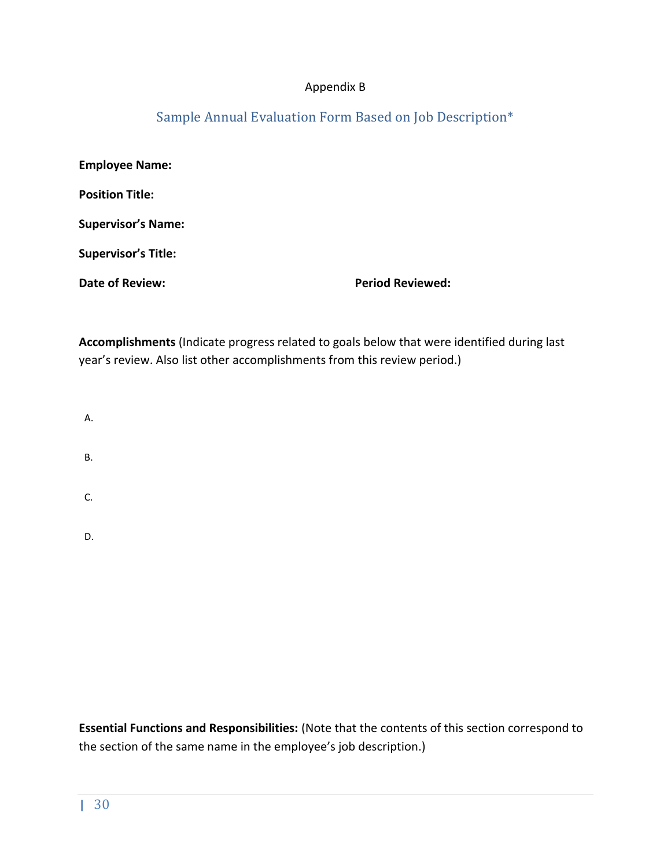#### Appendix B

# Sample Annual Evaluation Form Based on Job Description\*

<span id="page-29-0"></span>

| <b>Employee Name:</b>      |                         |
|----------------------------|-------------------------|
| <b>Position Title:</b>     |                         |
| <b>Supervisor's Name:</b>  |                         |
| <b>Supervisor's Title:</b> |                         |
| Date of Review:            | <b>Period Reviewed:</b> |

**Accomplishments** (Indicate progress related to goals below that were identified during last year's review. Also list other accomplishments from this review period.)

- A.
- 
- B.
- C.

D.

**Essential Functions and Responsibilities:** (Note that the contents of this section correspond to the section of the same name in the employee's job description.)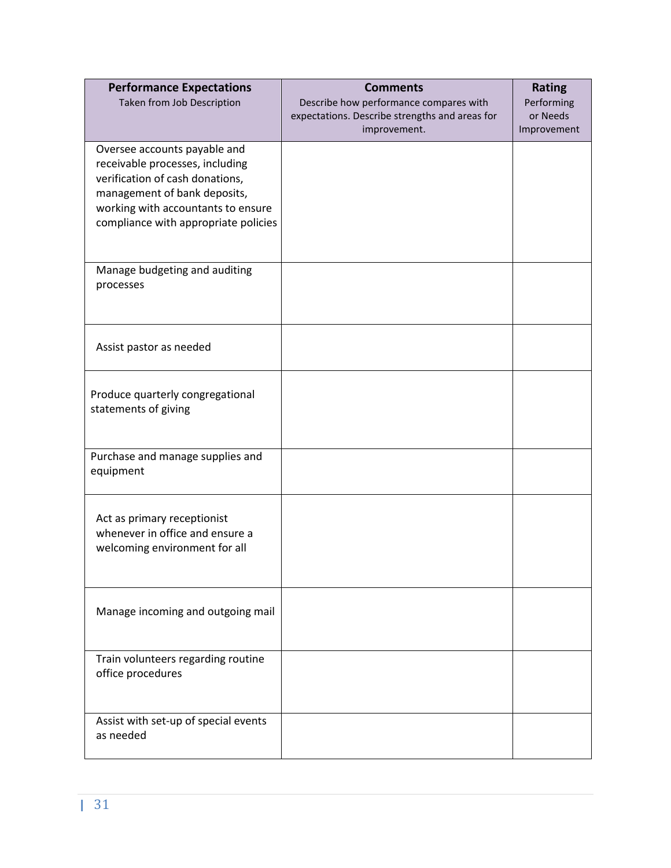| <b>Performance Expectations</b>                                 | <b>Comments</b>                                                | <b>Rating</b>           |
|-----------------------------------------------------------------|----------------------------------------------------------------|-------------------------|
| Taken from Job Description                                      | Describe how performance compares with                         | Performing              |
|                                                                 | expectations. Describe strengths and areas for<br>improvement. | or Needs<br>Improvement |
|                                                                 |                                                                |                         |
| Oversee accounts payable and<br>receivable processes, including |                                                                |                         |
| verification of cash donations,                                 |                                                                |                         |
| management of bank deposits,                                    |                                                                |                         |
| working with accountants to ensure                              |                                                                |                         |
| compliance with appropriate policies                            |                                                                |                         |
|                                                                 |                                                                |                         |
| Manage budgeting and auditing                                   |                                                                |                         |
| processes                                                       |                                                                |                         |
|                                                                 |                                                                |                         |
|                                                                 |                                                                |                         |
| Assist pastor as needed                                         |                                                                |                         |
|                                                                 |                                                                |                         |
| Produce quarterly congregational                                |                                                                |                         |
| statements of giving                                            |                                                                |                         |
|                                                                 |                                                                |                         |
|                                                                 |                                                                |                         |
| Purchase and manage supplies and<br>equipment                   |                                                                |                         |
|                                                                 |                                                                |                         |
|                                                                 |                                                                |                         |
| Act as primary receptionist<br>whenever in office and ensure a  |                                                                |                         |
| welcoming environment for all                                   |                                                                |                         |
|                                                                 |                                                                |                         |
|                                                                 |                                                                |                         |
| Manage incoming and outgoing mail                               |                                                                |                         |
|                                                                 |                                                                |                         |
|                                                                 |                                                                |                         |
| Train volunteers regarding routine                              |                                                                |                         |
| office procedures                                               |                                                                |                         |
|                                                                 |                                                                |                         |
| Assist with set-up of special events<br>as needed               |                                                                |                         |
|                                                                 |                                                                |                         |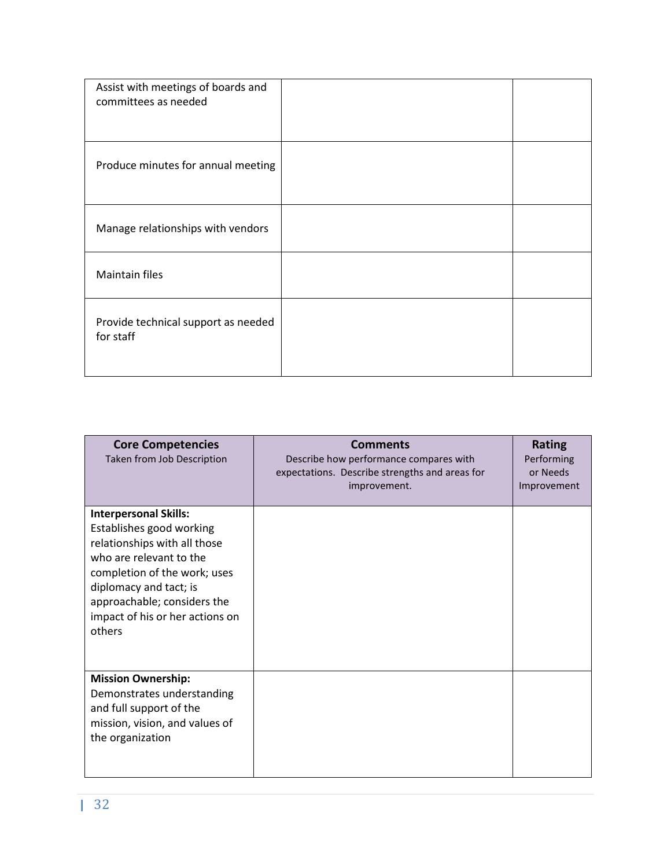| Assist with meetings of boards and<br>committees as needed |  |
|------------------------------------------------------------|--|
| Produce minutes for annual meeting                         |  |
| Manage relationships with vendors                          |  |
| <b>Maintain files</b>                                      |  |
| Provide technical support as needed<br>for staff           |  |

| <b>Core Competencies</b><br>Taken from Job Description                                                                                                                                                                                                    | <b>Comments</b><br>Describe how performance compares with<br>expectations. Describe strengths and areas for<br>improvement. | <b>Rating</b><br>Performing<br>or Needs<br>Improvement |
|-----------------------------------------------------------------------------------------------------------------------------------------------------------------------------------------------------------------------------------------------------------|-----------------------------------------------------------------------------------------------------------------------------|--------------------------------------------------------|
| <b>Interpersonal Skills:</b><br>Establishes good working<br>relationships with all those<br>who are relevant to the<br>completion of the work; uses<br>diplomacy and tact; is<br>approachable; considers the<br>impact of his or her actions on<br>others |                                                                                                                             |                                                        |
| <b>Mission Ownership:</b><br>Demonstrates understanding<br>and full support of the<br>mission, vision, and values of<br>the organization                                                                                                                  |                                                                                                                             |                                                        |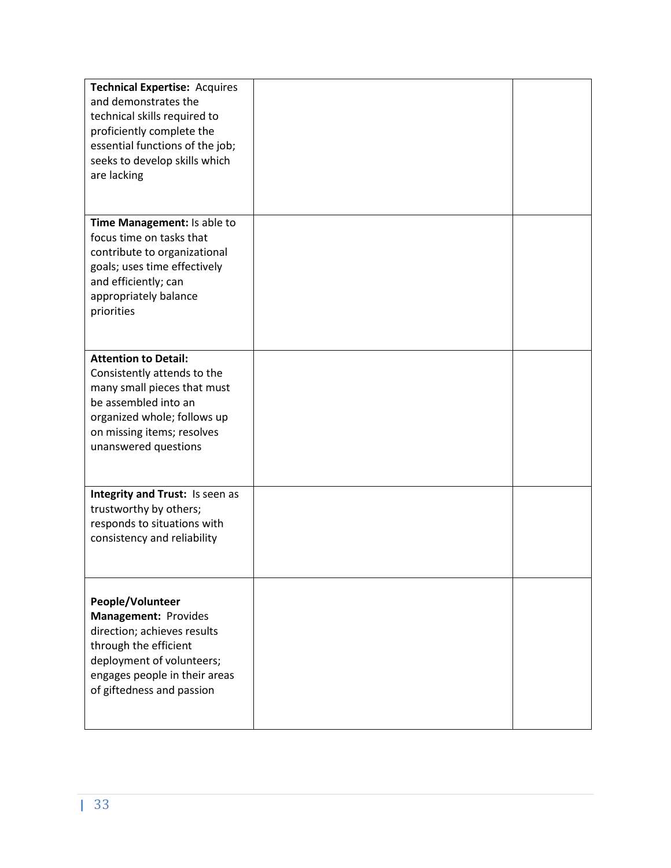| <b>Technical Expertise: Acquires</b><br>and demonstrates the<br>technical skills required to<br>proficiently complete the                                                                              |  |
|--------------------------------------------------------------------------------------------------------------------------------------------------------------------------------------------------------|--|
| essential functions of the job;<br>seeks to develop skills which<br>are lacking                                                                                                                        |  |
| Time Management: Is able to<br>focus time on tasks that<br>contribute to organizational<br>goals; uses time effectively<br>and efficiently; can<br>appropriately balance<br>priorities                 |  |
| <b>Attention to Detail:</b><br>Consistently attends to the<br>many small pieces that must<br>be assembled into an<br>organized whole; follows up<br>on missing items; resolves<br>unanswered questions |  |
| Integrity and Trust: Is seen as<br>trustworthy by others;<br>responds to situations with<br>consistency and reliability                                                                                |  |
| People/Volunteer<br>Management: Provides<br>direction; achieves results<br>through the efficient<br>deployment of volunteers;<br>engages people in their areas<br>of giftedness and passion            |  |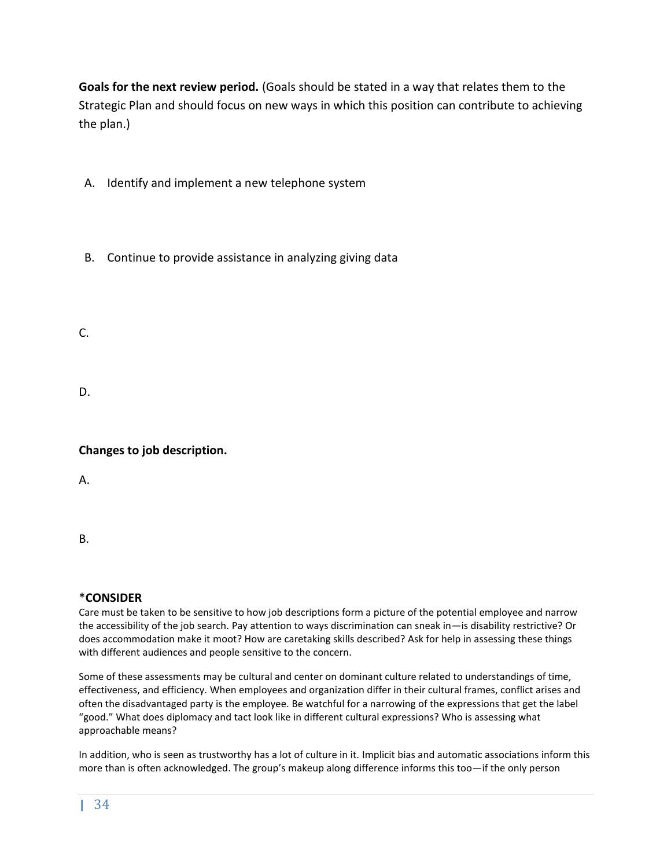**Goals for the next review period.** (Goals should be stated in a way that relates them to the Strategic Plan and should focus on new ways in which this position can contribute to achieving the plan.)

A. Identify and implement a new telephone system

B. Continue to provide assistance in analyzing giving data

C.

D.

#### **Changes to job description.**

A.

B.

#### \***CONSIDER**

Care must be taken to be sensitive to how job descriptions form a picture of the potential employee and narrow the accessibility of the job search. Pay attention to ways discrimination can sneak in—is disability restrictive? Or does accommodation make it moot? How are caretaking skills described? Ask for help in assessing these things with different audiences and people sensitive to the concern.

Some of these assessments may be cultural and center on dominant culture related to understandings of time, effectiveness, and efficiency. When employees and organization differ in their cultural frames, conflict arises and often the disadvantaged party is the employee. Be watchful for a narrowing of the expressions that get the label "good." What does diplomacy and tact look like in different cultural expressions? Who is assessing what approachable means?

In addition, who is seen as trustworthy has a lot of culture in it. Implicit bias and automatic associations inform this more than is often acknowledged. The group's makeup along difference informs this too—if the only person